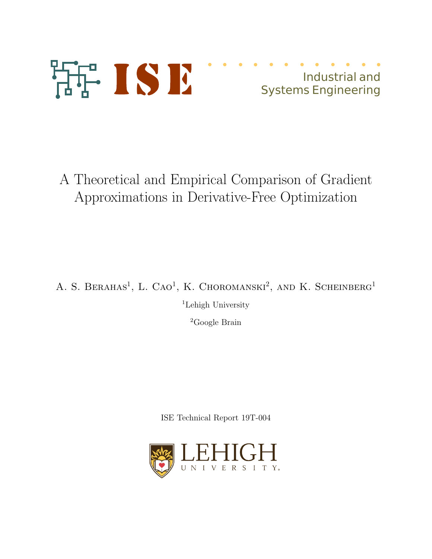

# Industrial and Systems Engineering

A Theoretical and Empirical Comparison of Gradient Approximations in Derivative-Free Optimization

A. S. BERAHAS<sup>1</sup>, L. CAO<sup>1</sup>, K. CHOROMANSKI<sup>2</sup>, AND K. SCHEINBERG<sup>1</sup>

<sup>1</sup>Lehigh University

<sup>2</sup>Google Brain

ISE Technical Report 19T-004

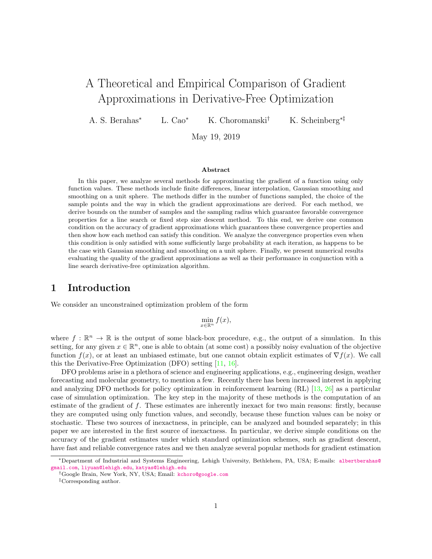# A Theoretical and Empirical Comparison of Gradient Approximations in Derivative-Free Optimization

A. S. Berahas<sup>∗</sup> L. Cao<sup>∗</sup> K. Choromanski† K. Scheinberg∗‡

May 19, 2019

#### Abstract

In this paper, we analyze several methods for approximating the gradient of a function using only function values. These methods include finite differences, linear interpolation, Gaussian smoothing and smoothing on a unit sphere. The methods differ in the number of functions sampled, the choice of the sample points and the way in which the gradient approximations are derived. For each method, we derive bounds on the number of samples and the sampling radius which guarantee favorable convergence properties for a line search or fixed step size descent method. To this end, we derive one common condition on the accuracy of gradient approximations which guarantees these convergence properties and then show how each method can satisfy this condition. We analyze the convergence properties even when this condition is only satisfied with some sufficiently large probability at each iteration, as happens to be the case with Gaussian smoothing and smoothing on a unit sphere. Finally, we present numerical results evaluating the quality of the gradient approximations as well as their performance in conjunction with a line search derivative-free optimization algorithm.

## 1 Introduction

We consider an unconstrained optimization problem of the form

$$
\min_{x \in \mathbb{R}^n} f(x),
$$

where  $f : \mathbb{R}^n \to \mathbb{R}$  is the output of some black-box procedure, e.g., the output of a simulation. In this setting, for any given  $x \in \mathbb{R}^n$ , one is able to obtain (at some cost) a possibly noisy evaluation of the objective function  $f(x)$ , or at least an unbiased estimate, but one cannot obtain explicit estimates of  $\nabla f(x)$ . We call this the Derivative-Free Optimization (DFO) setting [\[11,](#page-30-0) [16\]](#page-30-1).

DFO problems arise in a plethora of science and engineering applications, e.g., engineering design, weather forecasting and molecular geometry, to mention a few. Recently there has been increased interest in applying and analyzing DFO methods for policy optimization in reinforcement learning (RL) [\[13,](#page-30-2) [26\]](#page-31-0) as a particular case of simulation optimization. The key step in the majority of these methods is the computation of an estimate of the gradient of f. These estimates are inherently inexact for two main reasons: firstly, because they are computed using only function values, and secondly, because these function values can be noisy or stochastic. These two sources of inexactness, in principle, can be analyzed and bounded separately; in this paper we are interested in the first source of inexactness. In particular, we derive simple conditions on the accuracy of the gradient estimates under which standard optimization schemes, such as gradient descent, have fast and reliable convergence rates and we then analyze several popular methods for gradient estimation

<sup>∗</sup>Department of Industrial and Systems Engineering, Lehigh University, Bethlehem, PA, USA; E-mails: [albertberahas@](albertberahas@gmail.com) [gmail.com](albertberahas@gmail.com), <liyuan@lehigh.edu>, <katyas@lehigh.edu>

<sup>†</sup>Google Brain, New York, NY, USA; Email: <kchoro@google.com>

<sup>‡</sup>Corresponding author.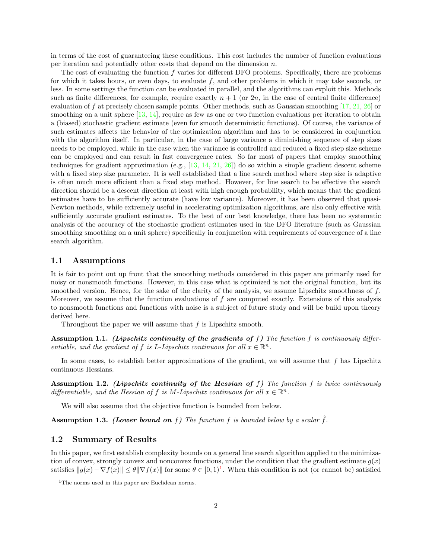in terms of the cost of guaranteeing these conditions. This cost includes the number of function evaluations per iteration and potentially other costs that depend on the dimension n.

The cost of evaluating the function f varies for different DFO problems. Specifically, there are problems for which it takes hours, or even days, to evaluate  $f$ , and other problems in which it may take seconds, or less. In some settings the function can be evaluated in parallel, and the algorithms can exploit this. Methods such as finite differences, for example, require exactly  $n + 1$  (or 2n, in the case of central finite difference) evaluation of f at precisely chosen sample points. Other methods, such as Gaussian smoothing [\[17,](#page-30-3) [21,](#page-30-4) [26\]](#page-31-0) or smoothing on a unit sphere [\[13,](#page-30-2) [14\]](#page-30-5), require as few as one or two function evaluations per iteration to obtain a (biased) stochastic gradient estimate (even for smooth deterministic functions). Of course, the variance of such estimates affects the behavior of the optimization algorithm and has to be considered in conjunction with the algorithm itself. In particular, in the case of large variance a diminishing sequence of step sizes needs to be employed, while in the case when the variance is controlled and reduced a fixed step size scheme can be employed and can result in fast convergence rates. So far most of papers that employ smoothing techniques for gradient approximation (e.g., [\[13,](#page-30-2) [14,](#page-30-5) [21,](#page-30-4) [26\]](#page-31-0)) do so within a simple gradient descent scheme with a fixed step size parameter. It is well established that a line search method where step size is adaptive is often much more efficient than a fixed step method. However, for line search to be effective the search direction should be a descent direction at least with high enough probability, which means that the gradient estimates have to be sufficiently accurate (have low variance). Moreover, it has been observed that quasi-Newton methods, while extremely useful in accelerating optimization algorithms, are also only effective with sufficiently accurate gradient estimates. To the best of our best knowledge, there has been no systematic analysis of the accuracy of the stochastic gradient estimates used in the DFO literature (such as Gaussian smoothing smoothing on a unit sphere) specifically in conjunction with requirements of convergence of a line search algorithm.

#### 1.1 Assumptions

It is fair to point out up front that the smoothing methods considered in this paper are primarily used for noisy or nonsmooth functions. However, in this case what is optimized is not the original function, but its smoothed version. Hence, for the sake of the clarity of the analysis, we assume Lipschitz smoothness of  $f$ . Moreover, we assume that the function evaluations of  $f$  are computed exactly. Extensions of this analysis to nonsmooth functions and functions with noise is a subject of future study and will be build upon theory derived here.

Throughout the paper we will assume that  $f$  is Lipschitz smooth.

<span id="page-2-1"></span>Assumption 1.1. (Lipschitz continuity of the gradients of f) The function f is continuously differentiable, and the gradient of f is L-Lipschitz continuous for all  $x \in \mathbb{R}^n$ .

In some cases, to establish better approximations of the gradient, we will assume that  $f$  has Lipschitz continuous Hessians.

<span id="page-2-3"></span>Assumption 1.2. (Lipschitz continuity of the Hessian of  $f$ ) The function  $f$  is twice continuously differentiable, and the Hessian of f is M-Lipschitz continuous for all  $x \in \mathbb{R}^n$ .

We will also assume that the objective function is bounded from below.

<span id="page-2-2"></span>**Assumption 1.3.** (Lower bound on f) The function f is bounded below by a scalar  $\hat{f}$ .

#### 1.2 Summary of Results

In this paper, we first establish complexity bounds on a general line search algorithm applied to the minimization of convex, strongly convex and nonconvex functions, under the condition that the gradient estimate  $g(x)$ satisfies  $||g(x) - \nabla f(x)|| \le \theta ||\nabla f(x)||$  for some  $\theta \in [0,1)^{1}$  $\theta \in [0,1)^{1}$  $\theta \in [0,1)^{1}$ . When this condition is not (or cannot be) satisfied

<span id="page-2-0"></span><sup>&</sup>lt;sup>1</sup>The norms used in this paper are Euclidean norms.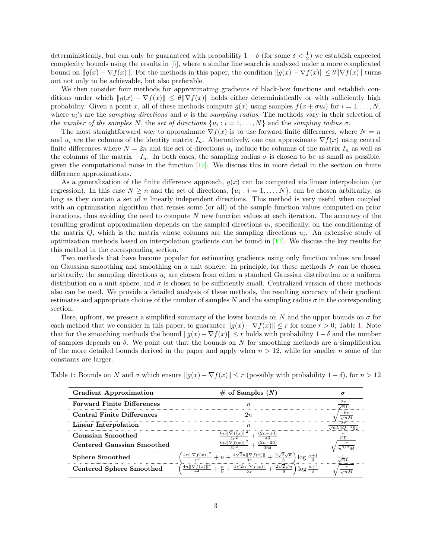deterministically, but can only be guaranteed with probability  $1 - \delta$  (for some  $\delta < \frac{1}{2}$ ) we establish expected complexity bounds using the results in [\[5\]](#page-30-6), where a similar line search is analyzed under a more complicated bound on  $||g(x) - \nabla f(x)||$ . For the methods in this paper, the condition  $||g(x) - \nabla f(x)|| \le \theta ||\nabla f(x)||$  turns out not only to be achievable, but also preferable.

We then consider four methods for approximating gradients of black-box functions and establish conditions under which  $||g(x) - \nabla f(x)|| \le \theta \|\nabla f(x)\|$  holds either deterministically or with sufficiently high probability. Given a point x, all of these methods compute  $g(x)$  using samples  $f(x + \sigma u_i)$  for  $i = 1, \ldots, N$ , where  $u_i$ 's are the sampling directions and  $\sigma$  is the sampling radius. The methods vary in their selection of the number of the samples N, the set of directions  $\{u_i : i = 1, ..., N\}$  and the sampling radius  $\sigma$ .

The most straightforward way to approximate  $\nabla f(x)$  is to use forward finite differences, where  $N = n$ and  $u_i$  are the columns of the identity matrix  $I_n$ . Alternatively, one can approximate  $\nabla f(x)$  using central finite differences where  $N = 2n$  and the set of directions  $u_i$  include the columns of the matrix  $I_n$  as well as the columns of the matrix  $-I_n$ . In both cases, the sampling radius  $\sigma$  is chosen to be as small as possible, given the computational noise in the function  $[19]$ . We discuss this in more detail in the section on finite difference approximations.

As a generalization of the finite difference approach,  $g(x)$  can be computed via linear interpolation (or regression). In this case  $N \ge n$  and the set of directions,  $\{u_i : i = 1, ..., N\}$ , can be chosen arbitrarily, as long as they contain a set of n linearly independent directions. This method is very useful when coupled with an optimization algorithm that reuses some (or all) of the sample function values computed on prior iterations, thus avoiding the need to compute  $N$  new function values at each iteration. The accuracy of the resulting gradient approximation depends on the sampled directions  $u_i$ , specifically, on the conditioning of the matrix  $Q$ , which is the matrix whose columns are the sampling directions  $u_i$ . An extensive study of optimization methods based on interpolation gradients can be found in [\[11\]](#page-30-0). We discuss the key results for this method in the corresponding section.

Two methods that have become popular for estimating gradients using only function values are based on Gaussian smoothing and smoothing on a unit sphere. In principle, for these methods  $N$  can be chosen arbitrarily, the sampling directions  $u_i$  are chosen from either a standard Gaussian distribution or a uniform distribution on a unit sphere, and  $\sigma$  is chosen to be sufficiently small. Centralized version of these methods also can be used. We provide a detailed analysis of these methods, the resulting accuracy of their gradient estimates and appropriate choices of the number of samples N and the sampling radius  $\sigma$  in the corresponding section.

Here, upfront, we present a simplified summary of the lower bounds on N and the upper bounds on  $\sigma$  for each method that we consider in this paper, to guarantee  $||g(x) - \nabla f(x)|| \leq r$  for some  $r > 0$ ; Table [1.](#page-3-0) Note that for the smoothing methods the bound  $||g(x) - \nabla f(x)|| \leq r$  holds with probability  $1 - \delta$  and the number of samples depends on  $\delta$ . We point out that the bounds on N for smoothing methods are a simplification of the more detailed bounds derived in the paper and apply when  $n > 12$ , while for smaller n some of the constants are larger.

| <b>Gradient Approximation</b>     | $\#$ of Samples $(N)$                                        |  |
|-----------------------------------|--------------------------------------------------------------|--|
| <b>Forward Finite Differences</b> |                                                              |  |
| <b>Central Finite Differences</b> |                                                              |  |
| Linear Interpolation              |                                                              |  |
| Gaussian Smoothed                 |                                                              |  |
| Centered Gaussian Smoothed        |                                                              |  |
| <b>Sphere Smoothed</b>            | (x)                                                          |  |
| Centered Sphere Smoothed          | $-\frac{4\sqrt{2}n\ \nabla f(x)\ }{3r}+$<br>$+\frac{n}{2}$ + |  |

<span id="page-3-0"></span>Table 1: Bounds on N and  $\sigma$  which ensure  $||g(x) - \nabla f(x)|| \leq r$  (possibly with probability  $1 - \delta$ ), for  $n > 12$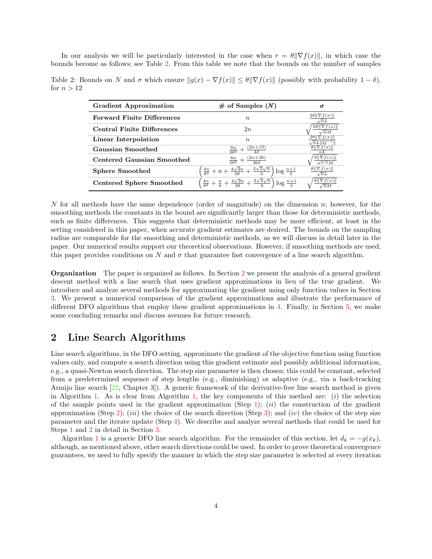In our analysis we will be particularly interested in the case when  $r = \theta \|\nabla f(x)\|$ , in which case the bounds become as follows; see Table [2.](#page-4-0) From this table we note that the bounds on the number of samples

<span id="page-4-0"></span>Table 2: Bounds on N and  $\sigma$  which ensure  $||g(x) - \nabla f(x)|| \le \theta ||\nabla f(x)||$  (possibly with probability  $1 - \delta$ ), for  $n > 12$ 

| <b>Gradient Approximation</b>     | $\#$ of Samples $(N)$                                                                                                | σ   |
|-----------------------------------|----------------------------------------------------------------------------------------------------------------------|-----|
| <b>Forward Finite Differences</b> | $n_{\rm}$                                                                                                            | /nL |
| <b>Central Finite Differences</b> | 2n                                                                                                                   |     |
| Linear Interpolation              | $n_{\rm}$                                                                                                            |     |
| Gaussian Smoothed                 | $\frac{(2n+13)}{2}$                                                                                                  |     |
| Centered Gaussian Smoothed        |                                                                                                                      |     |
| <b>Sphere Smoothed</b>            | $\frac{4n}{\theta^2} + n + \frac{4\sqrt{2}n}{3\theta} + \frac{2\sqrt{2}\sqrt{n}}{3}$<br>$\log \frac{n+1}{s}$         |     |
| <b>Centered Sphere Smoothed</b>   | $rac{4n}{\theta^2} + \frac{n}{9} + \frac{4\sqrt{2}n}{3\theta} + \frac{2\sqrt{2}\sqrt{n}}{9}$<br>$\log \frac{n+1}{s}$ |     |

N for all methods have the same dependence (order of magnitude) on the dimension  $n$ ; however, for the smoothing methods the constants in the bound are significantly larger than those for deterministic methods, such as finite differences. This suggests that deterministic methods may be more efficient, at least in the setting considered in this paper, when accurate gradient estimates are desired. The bounds on the sampling radius are comparable for the smoothing and deterministic methods, as we will discuss in detail later in the paper. Our numerical results support our theoretical observations. However, if smoothing methods are used, this paper provides conditions on N and  $\sigma$  that guarantee fast convergence of a line search algorithm.

Organization The paper is organized as follows. In Section [2](#page-4-1) we present the analysis of a general gradient descent method with a line search that uses gradient approximations in lieu of the true gradient. We introduce and analyze several methods for approximating the gradient using only function values in Section [3.](#page-12-0) We present a numerical comparison of the gradient approximations and illustrate the performance of different DFO algorithms that employ these gradient approximations in [4.](#page-25-0) Finally, in Section [5,](#page-29-0) we make some concluding remarks and discuss avenues for future research.

## <span id="page-4-1"></span>2 Line Search Algorithms

Line search algorithms, in the DFO setting, approximate the gradient of the objective function using function values only, and compute a search direction using this gradient estimate and possibly additional information, e.g., a quasi-Newton search direction. The step size parameter is then chosen; this could be constant, selected from a predetermined sequence of step lengths (e.g., diminishing) or adaptive (e.g., via a back-tracking Armijo line search [\[22,](#page-31-1) Chapter 3]). A generic framework of the derivative-free line search method is given in Algorithm [1.](#page-5-0) As is clear from Algorithm [1,](#page-5-0) the key components of this method are:  $(i)$  the selection of the sample points used in the gradient approximation (Step [1\)](#page-5-1); *(ii)* the construction of the gradient approximation (Step [2\)](#page-5-2); (iii) the choice of the search direction (Step [3\)](#page-5-3); and (iv) the choice of the step size parameter and the iterate update (Step [4\)](#page-5-4). We describe and analyze several methods that could be used for Steps [1](#page-5-1) and [2](#page-5-2) in detail in Section [3.](#page-12-0)

Algorithm [1](#page-5-0) is a generic DFO line search algorithm. For the remainder of this section, let  $d_k = -g(x_k)$ , although, as mentioned above, other search directions could be used. In order to prove theoretical convergence guarantees, we need to fully specify the manner in which the step size parameter is selected at every iteration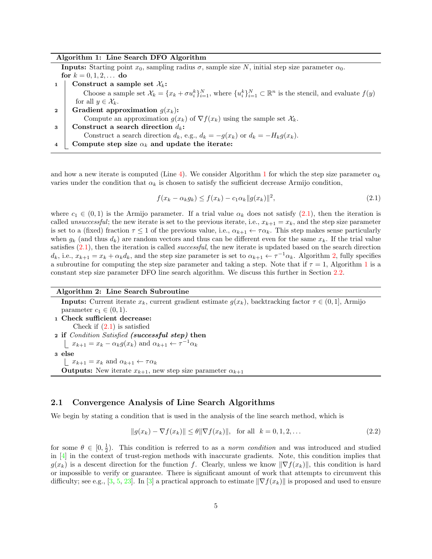<span id="page-5-2"></span><span id="page-5-1"></span><span id="page-5-0"></span>

| Algorithm 1: Line Search DFO Algorithm                                                                                                                    |
|-----------------------------------------------------------------------------------------------------------------------------------------------------------|
| <b>Inputs:</b> Starting point $x_0$ , sampling radius $\sigma$ , sample size N, initial step size parameter $\alpha_0$ .                                  |
| for $k = 0, 1, 2, $ do                                                                                                                                    |
| Construct a sample set $\mathcal{X}_k$ :                                                                                                                  |
| Choose a sample set $\mathcal{X}_k = \{x_k + \sigma u_k^k\}_{i=1}^N$ , where $\{u_i^k\}_{i=1}^N \subset \mathbb{R}^n$ is the stencil, and evaluate $f(y)$ |
| for all $y \in \mathcal{X}_k$ .                                                                                                                           |
| Gradient approximation $g(x_k)$ :<br>$\mathbf{2}$                                                                                                         |
| Compute an approximation $g(x_k)$ of $\nabla f(x_k)$ using the sample set $\mathcal{X}_k$ .                                                               |
| Construct a search direction $d_k$ :<br>3                                                                                                                 |
| Construct a search direction $d_k$ , e.g., $d_k = -g(x_k)$ or $d_k = -H_k g(x_k)$ .                                                                       |
| Compute step size $\alpha_k$ and update the iterate:                                                                                                      |

<span id="page-5-4"></span><span id="page-5-3"></span>and how a new iterate is computed (Line [4\)](#page-5-4). We consider Algorithm [1](#page-5-0) for which the step size parameter  $\alpha_k$ varies under the condition that  $\alpha_k$  is chosen to satisfy the sufficient decrease Armijo condition,

<span id="page-5-5"></span>
$$
f(x_k - \alpha_k g_k) \le f(x_k) - c_1 \alpha_k \|g(x_k)\|^2,
$$
\n(2.1)

where  $c_1 \in (0,1)$  is the Armijo parameter. If a trial value  $\alpha_k$  does not satisfy [\(2.1\)](#page-5-5), then the iteration is called unsuccessful; the new iterate is set to the previous iterate, i.e.,  $x_{k+1} = x_k$ , and the step size parameter is set to a (fixed) fraction  $\tau \leq 1$  of the previous value, i.e.,  $\alpha_{k+1} \leftarrow \tau \alpha_k$ . This step makes sense particularly when  $g_k$  (and thus  $d_k$ ) are random vectors and thus can be different even for the same  $x_k$ . If the trial value satisfies  $(2.1)$ , then the iteration is called *successful*, the new iterate is updated based on the search direction  $d_k$ , i.e.,  $x_{k+1} = x_k + \alpha_k d_k$ , and the step size parameter is set to  $\alpha_{k+1} \leftarrow \tau^{-1} \alpha_k$ . Algorithm [2,](#page-5-6) fully specifies a subroutine for computing the step size parameter and taking a step. Note that if  $\tau = 1$  $\tau = 1$ , Algorithm 1 is a constant step size parameter DFO line search algorithm. We discuss this further in Section [2.2.](#page-12-1)

#### Algorithm 2: Line Search Subroutine

<span id="page-5-6"></span>**Inputs:** Current iterate  $x_k$ , current gradient estimate  $g(x_k)$ , backtracking factor  $\tau \in (0,1]$ , Armijo parameter  $c_1 \in (0,1)$ . 1 Check sufficient decrease: Check if  $(2.1)$  is satisfied 2 if Condition Satisfied (successful step) then  $x_{k+1} = x_k - \alpha_k g(x_k)$  and  $\alpha_{k+1} \leftarrow \tau^{-1} \alpha_k$ 3 else  $x_{k+1} = x_k$  and  $\alpha_{k+1} \leftarrow \tau \alpha_k$ **Outputs:** New iterate  $x_{k+1}$ , new step size parameter  $\alpha_{k+1}$ 

#### <span id="page-5-8"></span>2.1 Convergence Analysis of Line Search Algorithms

We begin by stating a condition that is used in the analysis of the line search method, which is

<span id="page-5-7"></span>
$$
||g(x_k) - \nabla f(x_k)|| \le \theta ||\nabla f(x_k)||, \text{ for all } k = 0, 1, 2, ...
$$
 (2.2)

for some  $\theta \in [0, \frac{1}{2})$ . This condition is referred to as a norm condition and was introduced and studied in  $[4]$  in the context of trust-region methods with inaccurate gradients. Note, this condition implies that  $g(x_k)$  is a descent direction for the function f. Clearly, unless we know  $\|\nabla f(x_k)\|$ , this condition is hard or impossible to verify or guarantee. There is significant amount of work that attempts to circumvent this difficulty; see e.g., [\[3,](#page-29-2) [5,](#page-30-6) [23\]](#page-31-2). In [\[3\]](#page-29-2) a practical approach to estimate  $\|\nabla f(x_k)\|$  is proposed and used to ensure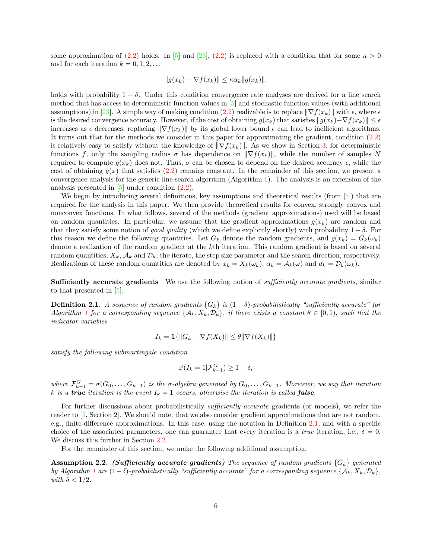some approximation of [\(2.2\)](#page-5-7) holds. In [\[5\]](#page-30-6) and [\[23\]](#page-31-2), (2.2) is replaced with a condition that for some  $\kappa > 0$ and for each iteration  $k = 0, 1, 2, \ldots$ 

$$
||g(x_k) - \nabla f(x_k)|| \leq \kappa \alpha_k ||g(x_k)||,
$$

holds with probability  $1 - \delta$ . Under this condition convergence rate analyses are derived for a line search method that has access to deterministic function values in [\[5\]](#page-30-6) and stochastic function values (with additional assumptions) in [\[23\]](#page-31-2). A simple way of making condition [\(2.2\)](#page-5-7) realizable is to replace  $\|\nabla f(x_k)\|$  with  $\epsilon$ , where  $\epsilon$ is the desired convergence accuracy. However, if the cost of obtaining  $g(x_k)$  that satisfies  $||g(x_k)-\nabla f(x_k)|| \leq \epsilon$ increases as  $\epsilon$  decreases, replacing  $\|\nabla f(x_k)\|$  by its global lower bound  $\epsilon$  can lead to inefficient algorithms. It turns out that for the methods we consider in this paper for approximating the gradient, condition [\(2.2\)](#page-5-7) is relatively easy to satisfy without the knowledge of  $\|\nabla f(x_k)\|$ . As we show in Section [3,](#page-12-0) for deterministic functions f, only the sampling radius  $\sigma$  has dependence on  $\|\nabla f(x_k)\|$ , while the number of samples N required to compute  $g(x_k)$  does not. Thus, σ can be chosen to depend on the desired accuracy  $\epsilon$ , while the cost of obtaining  $g(x)$  that satisfies [\(2.2\)](#page-5-7) remains constant. In the remainder of this section, we present a convergence analysis for the generic line search algorithm (Algorithm [1\)](#page-5-0). The analysis is an extension of the analysis presented in [\[5\]](#page-30-6) under condition [\(2.2\)](#page-5-7).

We begin by introducing several definitions, key assumptions and theoretical results (from [\[5\]](#page-30-6)) that are required for the analysis in this paper. We then provide theoretical results for convex, strongly convex and nonconvex functions. In what follows, several of the methods (gradient approximations) used will be based on random quantities. In particular, we assume that the gradient approximations  $g(x_k)$  are random and that they satisfy some notion of good quality (which we define explicitly shortly) with probability  $1 - \delta$ . For this reason we define the following quantities. Let  $G_k$  denote the random gradients, and  $g(x_k) = G_k(\omega_k)$ denote a realization of the random gradient at the kth iteration. This random gradient is based on several random quantities,  $X_k$ ,  $\mathcal{A}_k$  and  $\mathcal{D}_k$ , the iterate, the step size parameter and the search direction, respectively. Realizations of these random quantities are denoted by  $x_k = X_k(\omega_k)$ ,  $\alpha_k = \mathcal{A}_k(\omega)$  and  $d_k = \mathcal{D}_k(\omega_k)$ .

Sufficiently accurate gradients We use the following notion of *sufficiently accurate gradients*, similar to that presented in [\[5\]](#page-30-6).

<span id="page-6-0"></span>**Definition 2.1.** A sequence of random gradients  $\{G_k\}$  is  $(1 - \delta)$ -probabilistically "sufficiently accurate" for Algorithm [1](#page-5-0) for a corresponding sequence  $\{A_k, X_k, \mathcal{D}_k\}$ , if there exists a constant  $\theta \in [0,1)$ , such that the indicator variables

$$
I_k = \mathbb{1}\{\|G_k - \nabla f(X_k)\| \le \theta \|\nabla f(X_k)\|\}
$$

satisfy the following submartingale condition

$$
\mathbb{P}(I_k = 1 | \mathcal{F}_{k-1}^G) \ge 1 - \delta,
$$

where  $\mathcal{F}_{k-1}^G = \sigma(G_0, \ldots, G_{k-1})$  is the  $\sigma$ -algebra generated by  $G_0, \ldots, G_{k-1}$ . Moreover, we say that iteration k is a true iteration is the event  $I_k = 1$  occurs, otherwise the iteration is called **false**.

For further discussions about probabilistically *sufficiently accurate* gradients (or models), we refer the reader to [\[5,](#page-30-6) Section 2]. We should note, that we also consider gradient approximations that are not random, e.g., finite-difference approximations. In this case, using the notation in Definition [2.1,](#page-6-0) and with a specific choice of the associated parameters, one can guarantee that every iteration is a *true* iteration, i.e.,  $\delta = 0$ . We discuss this further in Section [2.2.](#page-12-1)

For the remainder of this section, we make the following additional assumption.

<span id="page-6-1"></span>**Assumption 2.2.** (Sufficiently accurate gradients) The sequence of random gradients  $\{G_k\}$  generated by Algorithm [1](#page-5-0) are  $(1-\delta)$ -probabilistically "sufficiently accurate" for a corresponding sequence  $\{A_k, X_k, D_k\}$ , with  $\delta < 1/2$ .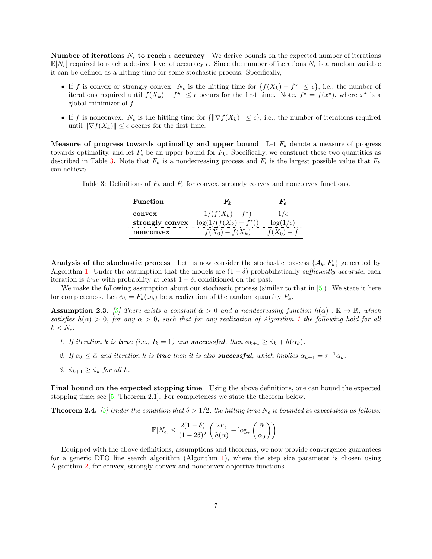**Number of iterations**  $N_{\epsilon}$  to reach  $\epsilon$  accuracy We derive bounds on the expected number of iterations  $\mathbb{E}[N_{\epsilon}]$  required to reach a desired level of accuracy  $\epsilon$ . Since the number of iterations  $N_{\epsilon}$  is a random variable it can be defined as a hitting time for some stochastic process. Specifically,

- If f is convex or strongly convex:  $N_{\epsilon}$  is the hitting time for  $\{f(X_k) f^* \leq \epsilon\}$ , i.e., the number of iterations required until  $f(X_k) - f^* \leq \epsilon$  occurs for the first time. Note,  $f^* = f(x^*)$ , where  $x^*$  is a global minimizer of  $f$ .
- If f is nonconvex:  $N_{\epsilon}$  is the hitting time for  $\{\|\nabla f(X_k)\| \leq \epsilon\}$ , i.e., the number of iterations required until  $\|\nabla f(X_k)\| \leq \epsilon$  occurs for the first time.

Measure of progress towards optimality and upper bound Let  $F_k$  denote a measure of progress towards optimality, and let  $F_{\epsilon}$  be an upper bound for  $F_{k}$ . Specifically, we construct these two quantities as described in Table [3.](#page-7-0) Note that  $F_k$  is a nondecreasing process and  $F_{\epsilon}$  is the largest possible value that  $F_k$ can achieve.

<span id="page-7-0"></span>Table 3: Definitions of  $F_k$  and  $F_{\epsilon}$  for convex, strongly convex and nonconvex functions.

| Function        |                          |  |  |  |
|-----------------|--------------------------|--|--|--|
| convex          | $1/(f(X_k) - f^*)$       |  |  |  |
| strongly convex | $\log(1/(f(X_k) - f^*))$ |  |  |  |
| nonconvex       | $f_0$ ) – $f(X_k)$       |  |  |  |

**Analysis of the stochastic process** Let us now consider the stochastic process  $\{\mathcal{A}_k, F_k\}$  generated by Algorithm [1.](#page-5-0) Under the assumption that the models are  $(1 - \delta)$ -probabilistically sufficiently accurate, each iteration is *true* with probability at least  $1 - \delta$ , conditioned on the past.

We make the following assumption about our stochastic process (similar to that in [\[5\]](#page-30-6)). We state it here for completeness. Let  $\phi_k = F_k(\omega_k)$  be a realization of the random quantity  $F_k$ .

<span id="page-7-1"></span>**Assumption 2.3.** [\[5\]](#page-30-6) There exists a constant  $\bar{\alpha} > 0$  and a nondecreasing function  $h(\alpha) : \mathbb{R} \to \mathbb{R}$ , which satisfies  $h(\alpha) > 0$ , for any  $\alpha > 0$ , such that for any realization of Algorithm [1](#page-5-0) the following hold for all  $k < N_{\epsilon}$ :

- 1. If iteration k is **true** (i.e.,  $I_k = 1$ ) and **successful**, then  $\phi_{k+1} \ge \phi_k + h(\alpha_k)$ .
- 2. If  $\alpha_k \leq \bar{\alpha}$  and iteration k is **true** then it is also **successful**, which implies  $\alpha_{k+1} = \tau^{-1} \alpha_k$ .
- 3.  $\phi_{k+1} \geq \phi_k$  for all k.

Final bound on the expected stopping time Using the above definitions, one can bound the expected stopping time; see [\[5,](#page-30-6) Theorem 2.1]. For completeness we state the theorem below.

<span id="page-7-2"></span>**Theorem 2.4.** [\[5\]](#page-30-6) Under the condition that  $\delta > 1/2$ , the hitting time  $N_{\epsilon}$  is bounded in expectation as follows:

$$
\mathbb{E}[N_{\epsilon}] \le \frac{2(1-\delta)}{(1-2\delta)^2} \left( \frac{2F_{\epsilon}}{h(\bar{\alpha})} + \log_{\tau} \left( \frac{\bar{\alpha}}{\alpha_0} \right) \right).
$$

Equipped with the above definitions, assumptions and theorems, we now provide convergence guarantees for a generic DFO line search algorithm (Algorithm [1\)](#page-5-0), where the step size parameter is chosen using Algorithm [2,](#page-5-6) for convex, strongly convex and nonconvex objective functions.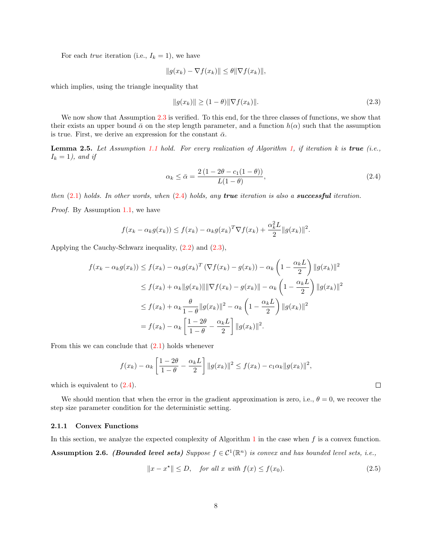For each *true* iteration (i.e.,  $I_k = 1$ ), we have

$$
||g(x_k) - \nabla f(x_k)|| \le \theta ||\nabla f(x_k)||,
$$

which implies, using the triangle inequality that

<span id="page-8-1"></span>
$$
||g(x_k)|| \ge (1 - \theta) ||\nabla f(x_k)||. \tag{2.3}
$$

We now show that Assumption [2.3](#page-7-1) is verified. To this end, for the three classes of functions, we show that their exists an upper bound  $\bar{\alpha}$  on the step length parameter, and a function  $h(\alpha)$  such that the assumption is true. First, we derive an expression for the constant  $\bar{\alpha}$ .

<span id="page-8-2"></span>**Lemma 2.5.** Let Assumption [1.1](#page-2-1) hold. For every realization of Algorithm [1,](#page-5-0) if iteration k is **true** (i.e.,  $I_k = 1$ , and if

<span id="page-8-0"></span>
$$
\alpha_k \le \bar{\alpha} = \frac{2\left(1 - 2\theta - c_1(1 - \theta)\right)}{L(1 - \theta)},\tag{2.4}
$$

then  $(2.1)$  holds. In other words, when  $(2.4)$  holds, any true iteration is also a successful iteration.

Proof. By Assumption [1.1,](#page-2-1) we have

$$
f(x_k - \alpha_k g(x_k)) \le f(x_k) - \alpha_k g(x_k)^T \nabla f(x_k) + \frac{\alpha_k^2 L}{2} ||g(x_k)||^2.
$$

Applying the Cauchy-Schwarz inequality, [\(2.2\)](#page-5-7) and [\(2.3\)](#page-8-1),

$$
f(x_k - \alpha_k g(x_k)) \le f(x_k) - \alpha_k g(x_k)^T (\nabla f(x_k) - g(x_k)) - \alpha_k \left(1 - \frac{\alpha_k L}{2}\right) \|g(x_k)\|^2
$$
  

$$
\le f(x_k) + \alpha_k \|g(x_k)\| \|\nabla f(x_k) - g(x_k)\| - \alpha_k \left(1 - \frac{\alpha_k L}{2}\right) \|g(x_k)\|^2
$$
  

$$
\le f(x_k) + \alpha_k \frac{\theta}{1 - \theta} \|g(x_k)\|^2 - \alpha_k \left(1 - \frac{\alpha_k L}{2}\right) \|g(x_k)\|^2
$$
  

$$
= f(x_k) - \alpha_k \left[\frac{1 - 2\theta}{1 - \theta} - \frac{\alpha_k L}{2}\right] \|g(x_k)\|^2.
$$

From this we can conclude that  $(2.1)$  holds whenever

$$
f(x_k) - \alpha_k \left[ \frac{1 - 2\theta}{1 - \theta} - \frac{\alpha_k L}{2} \right] \|g(x_k)\|^2 \le f(x_k) - c_1 \alpha_k \|g(x_k)\|^2,
$$

which is equivalent to  $(2.4)$ .

We should mention that when the error in the gradient approximation is zero, i.e.,  $\theta = 0$ , we recover the step size parameter condition for the deterministic setting.

#### 2.1.1 Convex Functions

<span id="page-8-3"></span>In this section, we analyze the expected complexity of Algorithm [1](#page-5-0) in the case when  $f$  is a convex function. **Assumption 2.6.** (Bounded level sets) Suppose  $f \in C^1(\mathbb{R}^n)$  is convex and has bounded level sets, i.e.,

$$
||x - x^*|| \le D, \quad \text{for all } x \text{ with } f(x) \le f(x_0). \tag{2.5}
$$

<span id="page-8-4"></span> $\Box$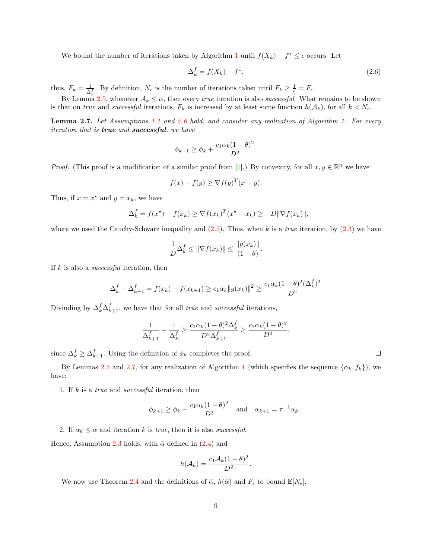We bound the number of iterations taken by Algorithm [1](#page-5-0) until  $f(X_k) - f^* \leq \epsilon$  occurs. Let

<span id="page-9-1"></span>
$$
\Delta_k^f = f(X_k) - f^\star,\tag{2.6}
$$

thus,  $F_k = \frac{1}{\Delta}$  $\frac{1}{\Delta_k^f}$ . By definition,  $N_{\epsilon}$  is the number of iterations taken until  $F_k \geq \frac{1}{\epsilon} = F_{\epsilon}$ .

By Lemma [2.5,](#page-8-2) whenever  $A_k \leq \bar{\alpha}$ , then every *true* iteration is also *successful*. What remains to be shown is that on true and successful iterations,  $F_k$  is increased by at least some function  $h(\mathcal{A}_k)$ , for all  $k < N_{\epsilon}$ .

<span id="page-9-0"></span>Lemma 2.7. Let Assumptions [1.1](#page-2-1) and [2.6](#page-8-3) hold, and consider any realization of Algorithm [1.](#page-5-0) For every iteration that is true and successful, we have

$$
\phi_{k+1} \ge \phi_k + \frac{c_1 \alpha_k (1-\theta)^2}{D^2}.
$$

*Proof.* (This proof is a modification of a similar proof from [\[5\]](#page-30-6).) By convexity, for all  $x, y \in \mathbb{R}^n$  we have

$$
f(x) - f(y) \ge \nabla f(y)^T (x - y).
$$

Thus, if  $x = x^*$  and  $y = x_k$ , we have

$$
-\Delta_k^f = f(x^\star) - f(x_k) \ge \nabla f(x_k)^T (x^\star - x_k) \ge -D \|\nabla f(x_k)\|,
$$

where we used the Cauchy-Schwarz inequality and  $(2.5)$ . Thus, when k is a true iteration, by  $(2.3)$  we have

$$
\frac{1}{D}\Delta_k^f \le \|\nabla f(x_k)\| \le \frac{\|g(x_k)\|}{(1-\theta)}.
$$

If  $k$  is also a *successful* iteration, then

$$
\Delta_k^f - \Delta_{k+1}^f = f(x_k) - f(x_{k+1}) \ge c_1 \alpha_k \|g(x_k)\|^2 \ge \frac{c_1 \alpha_k (1-\theta)^2 (\Delta_k^f)^2}{D^2}
$$

Divinding by  $\Delta_k^f \Delta_{k+1}^f$ , we have that for all *true* and *successful* iterations,

$$
\frac{1}{\Delta_{k+1}^f} - \frac{1}{\Delta_k^f} \ge \frac{c_1 \alpha_k (1-\theta)^2 \Delta_k^f}{D^2 \Delta_{k+1}^f} \ge \frac{c_1 \alpha_k (1-\theta)^2}{D^2},
$$

since  $\Delta_k^f \geq \Delta_{k+1}^f$ . Using the definition of  $\phi_k$  completes the proof.

By Lemmas [2.5](#page-8-2) and [2.7,](#page-9-0) for any realization of Algorithm [1](#page-5-0) (which specifies the sequence  $\{\alpha_k, f_k\}$ ), we have:

1. If  $k$  is a *true* and *successful* iteration, then

$$
\phi_{k+1} \ge \phi_k + \frac{c_1 \alpha_k (1-\theta)^2}{D^2}
$$
 and  $\alpha_{k+1} = \tau^{-1} \alpha_k$ .

2. If  $\alpha_k \leq \bar{\alpha}$  and iteration k is true, then it is also successful.

Hence, Assumption [2.3](#page-7-1) holds, with  $\bar{\alpha}$  defined in [\(2.4\)](#page-8-0) and

$$
h(\mathcal{A}_k) = \frac{c_1 \mathcal{A}_k (1-\theta)^2}{D^2}.
$$

We now use Theorem [2.4](#page-7-2) and the definitions of  $\bar{\alpha}$ ,  $h(\bar{\alpha})$  and  $F_{\epsilon}$  to bound  $\mathbb{E}[N_{\epsilon}].$ 

 $\Box$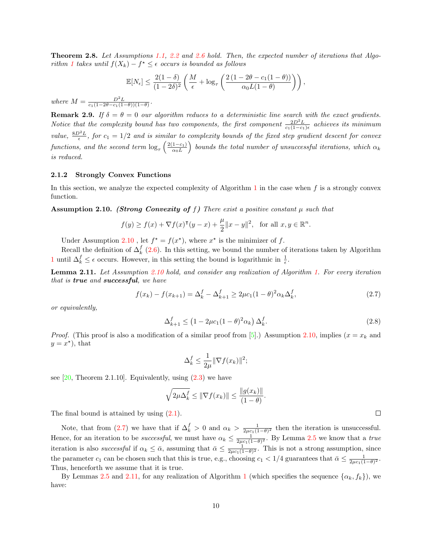<span id="page-10-3"></span>**Theorem 2.8.** Let Assumptions [1.1,](#page-2-1) [2.2](#page-6-1) and [2.6](#page-8-3) hold. Then, the expected number of iterations that Algo-rithm [1](#page-5-0) takes until  $f(X_k) - f^* \leq \epsilon$  occurs is bounded as follows

$$
\mathbb{E}[N_{\epsilon}] \leq \frac{2(1-\delta)}{(1-2\delta)^2} \left( \frac{M}{\epsilon} + \log_{\tau} \left( \frac{2(1-2\theta - c_1(1-\theta))}{\alpha_0 L(1-\theta)} \right) \right),
$$

where  $M = \frac{D^2 L}{c_1(1 - 2\theta - c_1(1 - \theta))(1 - \theta)}$ .

**Remark 2.9.** If  $\delta = \theta = 0$  our algorithm reduces to a deterministic line search with the exact gradients. Notice that the complexity bound has two components, the first component  $\frac{2D^2L}{c_1(1-c_1)\epsilon}$  achieves its minimum value,  $\frac{8D^2L}{\epsilon}$ , for  $c_1 = 1/2$  and is similar to complexity bounds of the fixed step gradient descent for convex functions, and the second term  $\log_{\tau} \left( \frac{2(1-c_1)}{\alpha_0 L} \right)$  $\left(\frac{1-c_1}{\alpha_0 L}\right)$  bounds the total number of unsuccessful iterations, which  $\alpha_k$ is reduced.

#### 2.1.2 Strongly Convex Functions

In this section, we analyze the expected complexity of Algorithm [1](#page-5-0) in the case when  $f$  is a strongly convex function.

<span id="page-10-0"></span>**Assumption 2.10.** (Strong Convexity of f) There exist a positive constant  $\mu$  such that

$$
f(y) \ge f(x) + \nabla f(x)^{\mathsf{T}}(y - x) + \frac{\mu}{2} ||x - y||^2, \text{ for all } x, y \in \mathbb{R}^n.
$$

Under Assumption [2.10](#page-10-0), let  $f^* = f(x^*)$ , where  $x^*$  is the minimizer of f.

Recall the definition of  $\Delta_k^f$  [\(2.6\)](#page-9-1). In this setting, we bound the number of iterations taken by Algorithm [1](#page-5-0) until  $\Delta_k^f$  ≤  $\epsilon$  occurs. However, in this setting the bound is logarithmic in  $\frac{1}{\epsilon}$ .

<span id="page-10-2"></span>Lemma 2.11. Let Assumption [2.10](#page-10-0) hold, and consider any realization of Algorithm [1.](#page-5-0) For every iteration that is **true** and **successful**, we have

$$
f(x_k) - f(x_{k+1}) = \Delta_k^f - \Delta_{k+1}^f \ge 2\mu c_1 (1 - \theta)^2 \alpha_k \Delta_k^f,
$$
\n(2.7)

or equivalently,

$$
\Delta_{k+1}^f \le \left(1 - 2\mu c_1 (1 - \theta)^2 \alpha_k\right) \Delta_k^f. \tag{2.8}
$$

*Proof.* (This proof is also a modification of a similar proof from [\[5\]](#page-30-6).) Assumption [2.10,](#page-10-0) implies ( $x = x_k$  and  $y = x^*$ , that

$$
\Delta_k^f \le \frac{1}{2\mu} \|\nabla f(x_k)\|^2;
$$

see  $[20,$  Theorem 2.1.10. Equivalently, using  $(2.3)$  we have

$$
\sqrt{2\mu\Delta_k^f} \le \|\nabla f(x_k)\| \le \frac{\|g(x_k)\|}{(1-\theta)}.
$$

The final bound is attained by using  $(2.1)$ .

Note, that from [\(2.7\)](#page-10-1) we have that if  $\Delta_k^f > 0$  and  $\alpha_k > \frac{1}{2\mu c_1(1-\theta)^2}$  then the iteration is unsuccessful. Hence, for an iteration to be *successful*, we must have  $\alpha_k \leq \frac{1}{2\mu c_1(1-\theta)^2}$ . By Lemma [2.5](#page-8-2) we know that a *true* iteration is also *successful* if  $\alpha_k \leq \bar{\alpha}$ , assuming that  $\bar{\alpha} \leq \frac{1}{2\mu c_1(1-\theta)^2}$ . This is not a strong assumption, since the parameter  $c_1$  can be chosen such that this is true, e.g., choosing  $c_1 < 1/4$  guarantees that  $\bar{\alpha} \leq \frac{1}{2\mu c_1(1-\theta)^2}$ . Thus, henceforth we assume that it is true.

By Lemmas [2.5](#page-8-2) and [2.11,](#page-10-2) for any realization of Algorithm [1](#page-5-0) (which specifies the sequence  $\{\alpha_k, f_k\}$ ), we have:

<span id="page-10-1"></span> $\Box$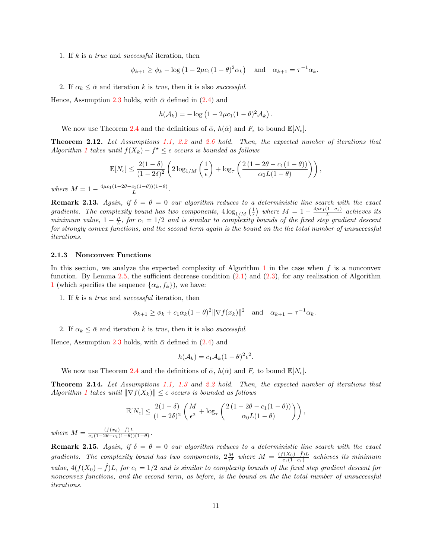1. If  $k$  is a *true* and *successful* iteration, then

$$
\phi_{k+1} \ge \phi_k - \log \left(1 - 2\mu c_1 (1 - \theta)^2 \alpha_k \right)
$$
 and  $\alpha_{k+1} = \tau^{-1} \alpha_k$ .

2. If  $\alpha_k \leq \bar{\alpha}$  and iteration k is true, then it is also successful.

Hence, Assumption [2.3](#page-7-1) holds, with  $\bar{\alpha}$  defined in [\(2.4\)](#page-8-0) and

$$
h(\mathcal{A}_k) = -\log(1 - 2\mu c_1(1-\theta)^2 \mathcal{A}_k).
$$

We now use Theorem [2.4](#page-7-2) and the definitions of  $\bar{\alpha}$ ,  $h(\bar{\alpha})$  and  $F_{\epsilon}$  to bound  $\mathbb{E}[N_{\epsilon}]$ .

<span id="page-11-0"></span>Theorem 2.12. Let Assumptions [1.1,](#page-2-1) [2.2](#page-6-1) and [2.6](#page-8-3) hold. Then, the expected number of iterations that Algorithm [1](#page-5-0) takes until  $f(X_k) - f^* \leq \epsilon$  occurs is bounded as follows

$$
\mathbb{E}[N_{\epsilon}] \leq \frac{2(1-\delta)}{(1-2\delta)^2} \left(2\log_{1/M}\left(\frac{1}{\epsilon}\right) + \log_{\tau}\left(\frac{2(1-2\theta - c_1(1-\theta))}{\alpha_0 L(1-\theta)}\right)\right),
$$

where  $M = 1 - \frac{4\mu c_1(1 - 2\theta - c_1(1 - \theta))(1 - \theta)}{L}$ .

**Remark 2.13.** Again, if  $\delta = \theta = 0$  our algorithm reduces to a deterministic line search with the exact gradients. The complexity bound has two components,  $4\log_{1/M}\left(\frac{1}{\epsilon}\right)$  where  $M=1-\frac{4\mu c_1(1-c_1)}{L}$  achieves its minimum value,  $1 - \frac{\mu}{L}$ , for  $c_1 = 1/2$  and is similar to complexity bounds of the fixed step gradient descent for strongly convex functions, and the second term again is the bound on the the total number of unsuccessful iterations.

#### 2.1.3 Nonconvex Functions

In this section, we analyze the expected complexity of Algorithm [1](#page-5-0) in the case when  $f$  is a nonconvex function. By Lemma [2.5,](#page-8-2) the sufficient decrease condition  $(2.1)$  and  $(2.3)$ , for any realization of Algorithm [1](#page-5-0) (which specifies the sequence  $\{\alpha_k, f_k\}$ ), we have:

1. If  $k$  is a *true* and *successful* iteration, then

$$
\phi_{k+1} \ge \phi_k + c_1 \alpha_k (1 - \theta)^2 ||\nabla f(x_k)||^2
$$
 and  $\alpha_{k+1} = \tau^{-1} \alpha_k$ .

2. If  $\alpha_k \leq \bar{\alpha}$  and iteration k is true, then it is also successful.

Hence, Assumption [2.3](#page-7-1) holds, with  $\bar{\alpha}$  defined in [\(2.4\)](#page-8-0) and

$$
h(\mathcal{A}_k) = c_1 \mathcal{A}_k (1 - \theta)^2 \epsilon^2.
$$

We now use Theorem [2.4](#page-7-2) and the definitions of  $\bar{\alpha}$ ,  $h(\bar{\alpha})$  and  $F_{\epsilon}$  to bound  $\mathbb{E}[N_{\epsilon}]$ .

<span id="page-11-1"></span>Theorem 2.14. Let Assumptions [1.1,](#page-2-1) [1.3](#page-2-2) and [2.2](#page-6-1) hold. Then, the expected number of iterations that Algorithm [1](#page-5-0) takes until  $\|\nabla f(X_k)\| \leq \epsilon$  occurs is bounded as follows

$$
\mathbb{E}[N_{\epsilon}] \leq \frac{2(1-\delta)}{(1-2\delta)^2}\left(\frac{M}{\epsilon^2} + \log_{\tau}\left(\frac{2\left(1-2\theta - c_1(1-\theta)\right)}{\alpha_0 L(1-\theta)}\right)\right),\,
$$

where  $M = \frac{(f(x_0)-f)L}{c_1(1-2\theta-c_1(1-\theta))}$  $c_1(1-2\theta-c_1(1-\theta))(1-\theta)$ .

**Remark 2.15.** Again, if  $\delta = \theta = 0$  our algorithm reduces to a deterministic line search with the exact gradients. The complexity bound has two components,  $2\frac{M}{\epsilon^2}$  where  $M = \frac{(f(X_0)-f)L}{c_1(1-c_1)}$  $\frac{c_1(X_0)-f}{c_1(1-c_1)}$  achieves its minimum value,  $4(f(X_0) - \hat{f})L$ , for  $c_1 = 1/2$  and is similar to complexity bounds of the fixed step gradient descent for nonconvex functions, and the second term, as before, is the bound on the the total number of unsuccessful iterations.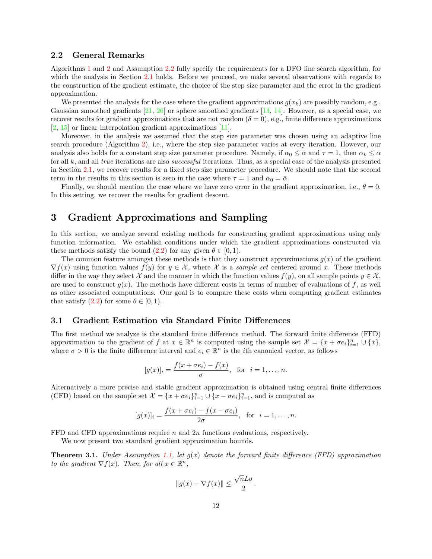#### <span id="page-12-1"></span>2.2 General Remarks

Algorithms [1](#page-5-0) and [2](#page-5-6) and Assumption [2.2](#page-6-1) fully specify the requirements for a DFO line search algorithm, for which the analysis in Section [2.1](#page-5-8) holds. Before we proceed, we make several observations with regards to the construction of the gradient estimate, the choice of the step size parameter and the error in the gradient approximation.

We presented the analysis for the case where the gradient approximations  $g(x_k)$  are possibly random, e.g., Gaussian smoothed gradients [\[21,](#page-30-4) [26\]](#page-31-0) or sphere smoothed gradients [\[13,](#page-30-2) [14\]](#page-30-5). However, as a special case, we recover results for gradient approximations that are not random ( $\delta = 0$ ), e.g., finite difference approximations [\[2,](#page-29-3) [15\]](#page-30-9) or linear interpolation gradient approximations [\[11\]](#page-30-0).

Moreover, in the analysis we assumed that the step size parameter was chosen using an adaptive line search procedure (Algorithm [2\)](#page-5-6), i.e., where the step size parameter varies at every iteration. However, our analysis also holds for a constant step size parameter procedure. Namely, if  $\alpha_0 \leq \bar{\alpha}$  and  $\tau = 1$ , then  $\alpha_k \leq \bar{\alpha}$ for all k, and all true iterations are also *successful* iterations. Thus, as a special case of the analysis presented in Section [2.1,](#page-5-8) we recover results for a fixed step size parameter procedure. We should note that the second term in the results in this section is zero in the case where  $\tau = 1$  and  $\alpha_0 = \bar{\alpha}$ .

Finally, we should mention the case where we have zero error in the gradient approximation, i.e.,  $\theta = 0$ . In this setting, we recover the results for gradient descent.

## <span id="page-12-0"></span>3 Gradient Approximations and Sampling

In this section, we analyze several existing methods for constructing gradient approximations using only function information. We establish conditions under which the gradient approximations constructed via these methods satisfy the bound  $(2.2)$  for any given  $\theta \in [0, 1)$ .

The common feature amongst these methods is that they construct approximations  $g(x)$  of the gradient  $\nabla f(x)$  using function values  $f(y)$  for  $y \in \mathcal{X}$ , where X is a sample set centered around x. These methods differ in the way they select X and the manner in which the function values  $f(y)$ , on all sample points  $y \in \mathcal{X}$ . are used to construct  $g(x)$ . The methods have different costs in terms of number of evaluations of f, as well as other associated computations. Our goal is to compare these costs when computing gradient estimates that satisfy  $(2.2)$  for some  $\theta \in [0,1)$ .

#### 3.1 Gradient Estimation via Standard Finite Differences

The first method we analyze is the standard finite difference method. The forward finite difference (FFD) approximation to the gradient of f at  $x \in \mathbb{R}^n$  is computed using the sample set  $\mathcal{X} = \{x + \sigma e_i\}_{i=1}^n \cup \{x\}$ , where  $\sigma > 0$  is the finite difference interval and  $e_i \in \mathbb{R}^n$  is the *i*th canonical vector, as follows

$$
[g(x)]_i = \frac{f(x + \sigma e_i) - f(x)}{\sigma}, \text{ for } i = 1, \dots, n.
$$

Alternatively a more precise and stable gradient approximation is obtained using central finite differences (CFD) based on the sample set  $\mathcal{X} = \{x + \sigma e_i\}_{i=1}^n \cup \{x - \sigma e_i\}_{i=1}^n$ , and is computed as

$$
[g(x)]_i = \frac{f(x + \sigma e_i) - f(x - \sigma e_i)}{2\sigma}, \text{ for } i = 1, \dots, n.
$$

FFD and CFD approximations require n and 2n functions evaluations, respectively.

We now present two standard gradient approximation bounds.

<span id="page-12-2"></span>**Theorem 3.1.** Under Assumption [1.1,](#page-2-1) let  $g(x)$  denote the forward finite difference (FFD) approximation to the gradient  $\nabla f(x)$ . Then, for all  $x \in \mathbb{R}^n$ ,

$$
||g(x) - \nabla f(x)|| \le \frac{\sqrt{n}L\sigma}{2}.
$$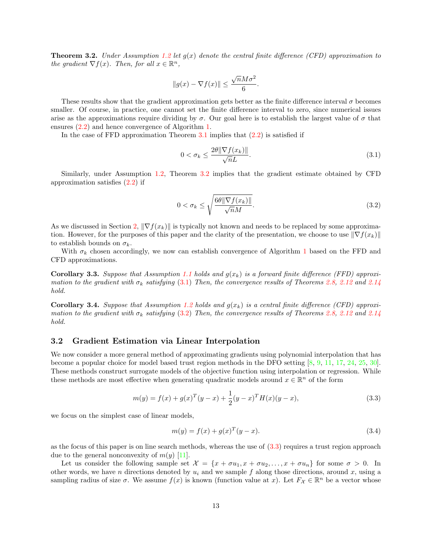<span id="page-13-0"></span>**Theorem 3.2.** Under Assumption [1.2](#page-2-3) let  $q(x)$  denote the central finite difference (CFD) approximation to the gradient  $\nabla f(x)$ . Then, for all  $x \in \mathbb{R}^n$ ,

$$
||g(x) - \nabla f(x)|| \le \frac{\sqrt{n}M\sigma^2}{6}.
$$

These results show that the gradient approximation gets better as the finite difference interval  $\sigma$  becomes smaller. Of course, in practice, one cannot set the finite difference interval to zero, since numerical issues arise as the approximations require dividing by  $\sigma$ . Our goal here is to establish the largest value of  $\sigma$  that ensures [\(2.2\)](#page-5-7) and hence convergence of Algorithm [1.](#page-5-0)

In the case of FFD approximation Theorem  $3.1$  implies that  $(2.2)$  is satisfied if

<span id="page-13-1"></span>
$$
0 < \sigma_k \le \frac{2\theta \|\nabla f(x_k)\|}{\sqrt{n}L}.\tag{3.1}
$$

Similarly, under Assumption [1.2,](#page-2-3) Theorem [3.2](#page-13-0) implies that the gradient estimate obtained by CFD approximation satisfies [\(2.2\)](#page-5-7) if

<span id="page-13-2"></span>
$$
0 < \sigma_k \le \sqrt{\frac{6\theta \|\nabla f(x_k)\|}{\sqrt{n}M}}.\tag{3.2}
$$

As we discussed in Section [2,](#page-4-1)  $\|\nabla f(x_k)\|$  is typically not known and needs to be replaced by some approximation. However, for the purposes of this paper and the clarity of the presentation, we choose to use  $\|\nabla f(x_k)\|$ to establish bounds on  $\sigma_k$ .

With  $\sigma_k$  chosen accordingly, we now can establish convergence of Algorithm [1](#page-5-0) based on the FFD and CFD approximations.

**Corollary 3.3.** Suppose that Assumption [1.1](#page-2-1) holds and  $g(x_k)$  is a forward finite difference (FFD) approximation to the gradient with  $\sigma_k$  satisfying [\(3.1\)](#page-13-1) Then, the convergence results of Theorems [2.8,](#page-10-3) [2.12](#page-11-0) and [2.14](#page-11-1) hold.

**Corollary 3.4.** Suppose that Assumption [1.2](#page-2-3) holds and  $g(x_k)$  is a central finite difference (CFD) approximation to the gradient with  $\sigma_k$  satisfying [\(3.2\)](#page-13-2) Then, the convergence results of Theorems [2.8,](#page-10-3) [2.12](#page-11-0) and [2.14](#page-11-1) hold.

#### 3.2 Gradient Estimation via Linear Interpolation

We now consider a more general method of approximating gradients using polynomial interpolation that has become a popular choice for model based trust region methods in the DFO setting [\[8,](#page-30-10) [9,](#page-30-11) [11,](#page-30-0) [17,](#page-30-3) [24,](#page-31-3) [25,](#page-31-4) [30\]](#page-31-5). These methods construct surrogate models of the objective function using interpolation or regression. While these methods are most effective when generating quadratic models around  $x \in \mathbb{R}^n$  of the form

$$
m(y) = f(x) + g(x)^{T} (y - x) + \frac{1}{2} (y - x)^{T} H(x) (y - x),
$$
\n(3.3)

we focus on the simplest case of linear models,

<span id="page-13-4"></span><span id="page-13-3"></span>
$$
m(y) = f(x) + g(x)^{T} (y - x).
$$
\n(3.4)

as the focus of this paper is on line search methods, whereas the use of  $(3.3)$  requires a trust region approach due to the general nonconvexity of  $m(y)$  [\[11\]](#page-30-0).

Let us consider the following sample set  $\mathcal{X} = \{x + \sigma u_1, x + \sigma u_2, \ldots, x + \sigma u_n\}$  for some  $\sigma > 0$ . In other words, we have n directions denoted by  $u_i$  and we sample f along those directions, around x, using a sampling radius of size  $\sigma$ . We assume  $f(x)$  is known (function value at x). Let  $F_{\mathcal{X}} \in \mathbb{R}^n$  be a vector whose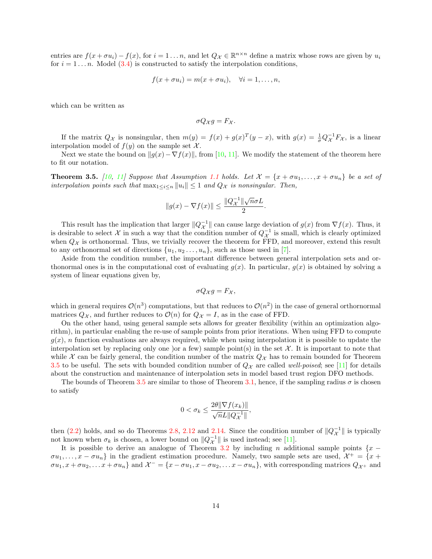entries are  $f(x + \sigma u_i) - f(x)$ , for  $i = 1 \dots n$ , and let  $Q_{\mathcal{X}} \in \mathbb{R}^{n \times n}$  define a matrix whose rows are given by  $u_i$ for  $i = 1 \dots n$ . Model [\(3.4\)](#page-13-4) is constructed to satisfy the interpolation conditions,

$$
f(x + \sigma u_i) = m(x + \sigma u_i), \quad \forall i = 1, \dots, n,
$$

which can be written as

$$
\sigma Q_{\mathcal{X}}g = F_{\mathcal{X}}.
$$

If the matrix  $Q_{\mathcal{X}}$  is nonsingular, then  $m(y) = f(x) + g(x)^T (y - x)$ , with  $g(x) = \frac{1}{\sigma} Q_{\mathcal{X}}^{-1} F_{\mathcal{X}}$ , is a linear interpolation model of  $f(y)$  on the sample set X.

Next we state the bound on  $||g(x)-\nabla f(x)||$ , from [\[10,](#page-30-12) [11\]](#page-30-0). We modify the statement of the theorem here to fit our notation.

<span id="page-14-0"></span>**Theorem 3.5.** [\[10,](#page-30-12) [11\]](#page-30-0) Suppose that Assumption [1.1](#page-2-1) holds. Let  $\mathcal{X} = \{x + \sigma u_1, \ldots, x + \sigma u_n\}$  be a set of interpolation points such that  $\max_{1 \leq i \leq n} ||u_i|| \leq 1$  and  $Q_{\mathcal{X}}$  is nonsingular. Then,

$$
||g(x) - \nabla f(x)|| \le \frac{||Q_{\mathcal{X}}^{-1}||\sqrt{n}\sigma L}{2}.
$$

This result has the implication that larger  $||Q_{\mathcal{X}}^{-1}||$  can cause large deviation of  $g(x)$  from  $\nabla f(x)$ . Thus, it is desirable to select X in such a way that the condition number of  $Q_{\mathcal{X}}^{-1}$  is small, which is clearly optimized when  $Q_{\mathcal{X}}$  is orthonormal. Thus, we trivially recover the theorem for FFD, and moreover, extend this result to any orthonormal set of directions  $\{u_1, u_2, \ldots, u_n\}$ , such as those used in [\[7\]](#page-30-13).

Aside from the condition number, the important difference between general interpolation sets and orthonormal ones is in the computational cost of evaluating  $g(x)$ . In particular,  $g(x)$  is obtained by solving a system of linear equations given by,

$$
\sigma Q_{\mathcal{X}}g = F_{\mathcal{X}},
$$

which in general requires  $\mathcal{O}(n^3)$  computations, but that reduces to  $\mathcal{O}(n^2)$  in the case of general orthornormal matrices  $Q_{\mathcal{X}}$ , and further reduces to  $\mathcal{O}(n)$  for  $Q_{\mathcal{X}} = I$ , as in the case of FFD.

On the other hand, using general sample sets allows for greater flexibility (within an optimization algorithm), in particular enabling the re-use of sample points from prior iterations. When using FFD to compute  $g(x)$ , n function evaluations are always required, while when using interpolation it is possible to update the interpolation set by replacing only one )or a few) sample point(s) in the set  $\mathcal X$ . It is important to note that while X can be fairly general, the condition number of the matrix  $Q_X$  has to remain bounded for Theorem [3.5](#page-14-0) to be useful. The sets with bounded condition number of  $Q_{\mathcal{X}}$  are called well-poised; see [\[11\]](#page-30-0) for details about the construction and maintenance of interpolation sets in model based trust region DFO methods.

The bounds of Theorem [3.5](#page-14-0) are similar to those of Theorem [3.1,](#page-12-2) hence, if the sampling radius  $\sigma$  is chosen to satisfy

$$
0 < \sigma_k \le \frac{2\theta \|\nabla f(x_k)\|}{\sqrt{n}L\|Q_\mathcal{X}^{-1}\|},
$$

then [\(2.2\)](#page-5-7) holds, and so do Theorems [2.8,](#page-10-3) [2.12](#page-11-0) and [2.14.](#page-11-1) Since the condition number of  $||Q_{\mathcal{X}}^{-1}||$  is typically not known when  $\sigma_k$  is chosen, a lower bound on  $||Q_{\mathcal{X}}^{-1}||$  is used instead; see [\[11\]](#page-30-0).

It is possible to derive an analogue of Theorem [3.2](#page-13-0) by including n additional sample points  $\{x \rightarrow$  $\sigma u_1, \ldots, x - \sigma u_n$  in the gradient estimation procedure. Namely, two sample sets are used,  $\mathcal{X}^+ = \{x +$  $\sigma u_1, x + \sigma u_2, \ldots x + \sigma u_n$  and  $\mathcal{X}^- = \{x - \sigma u_1, x - \sigma u_2, \ldots x - \sigma u_n\}$ , with corresponding matrices  $Q_{\mathcal{X}^+}$  and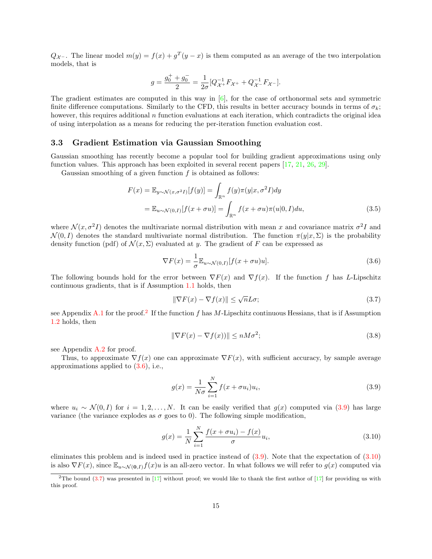$Q_{\mathcal{X}}$ . The linear model  $m(y) = f(x) + g^{T}(y - x)$  is them computed as an average of the two interpolation models, that is

$$
g=\frac{g_0^++g_0^-}{2}=\frac{1}{2\sigma}[Q_{\mathcal{X}^+}^{-1}F_{\mathcal{X}^+}+Q_{\mathcal{X}^-}^{-1}F_{\mathcal{X}^-}].
$$

The gradient estimates are computed in this way in [\[6\]](#page-30-14), for the case of orthonormal sets and symmetric finite difference computations. Similarly to the CFD, this results in better accuracy bounds in terms of  $\sigma_k$ ; however, this requires additional n function evaluations at each iteration, which contradicts the original idea of using interpolation as a means for reducing the per-iteration function evaluation cost.

#### 3.3 Gradient Estimation via Gaussian Smoothing

Gaussian smoothing has recently become a popular tool for building gradient approximations using only function values. This approach has been exploited in several recent papers [\[17,](#page-30-3) [21,](#page-30-4) [26,](#page-31-0) [29\]](#page-31-6).

Gaussian smoothing of a given function  $f$  is obtained as follows:

$$
F(x) = \mathbb{E}_{y \sim \mathcal{N}(x, \sigma^2 I)}[f(y)] = \int_{\mathbb{R}^n} f(y)\pi(y|x, \sigma^2 I)dy
$$
  
= 
$$
\mathbb{E}_{u \sim \mathcal{N}(0, I)}[f(x + \sigma u)] = \int_{\mathbb{R}^n} f(x + \sigma u)\pi(u|0, I)du,
$$
 (3.5)

where  $\mathcal{N}(x, \sigma^2 I)$  denotes the multivariate normal distribution with mean x and covariance matrix  $\sigma^2 I$  and  $\mathcal{N}(0, I)$  denotes the standard multivariate normal distribution. The function  $\pi(y|x, \Sigma)$  is the probability density function (pdf) of  $\mathcal{N}(x, \Sigma)$  evaluated at y. The gradient of F can be expressed as

<span id="page-15-5"></span>
$$
\nabla F(x) = \frac{1}{\sigma} \mathbb{E}_{u \sim \mathcal{N}(0, I)} [f(x + \sigma u)u]. \tag{3.6}
$$

The following bounds hold for the error between  $\nabla F(x)$  and  $\nabla f(x)$ . If the function f has L-Lipschitz continuous gradients, that is if Assumption [1.1](#page-2-1) holds, then

<span id="page-15-4"></span><span id="page-15-1"></span>
$$
\|\nabla F(x) - \nabla f(x)\| \le \sqrt{n}L\sigma;\tag{3.7}
$$

see Appendix [A.1](#page-32-0) for the proof.<sup>[2](#page-15-0)</sup> If the function f has M-Lipschitz continuous Hessians, that is if Assumption [1.2](#page-2-3) holds, then

<span id="page-15-6"></span>
$$
\|\nabla F(x) - \nabla f(x)\| \le nM\sigma^2;\tag{3.8}
$$

see Appendix [A.2](#page-32-1) for proof.

Thus, to approximate  $\nabla f(x)$  one can approximate  $\nabla F(x)$ , with sufficient accuracy, by sample average approximations applied to [\(3.6\)](#page-15-1), i.e.,

<span id="page-15-3"></span><span id="page-15-2"></span>
$$
g(x) = \frac{1}{N\sigma} \sum_{i=1}^{N} f(x + \sigma u_i) u_i,
$$
\n(3.9)

where  $u_i \sim \mathcal{N}(0, I)$  for  $i = 1, 2, ..., N$ . It can be easily verified that  $g(x)$  computed via [\(3.9\)](#page-15-2) has large variance (the variance explodes as  $\sigma$  goes to 0). The following simple modification,

$$
g(x) = \frac{1}{N} \sum_{i=1}^{N} \frac{f(x + \sigma u_i) - f(x)}{\sigma} u_i,
$$
\n(3.10)

eliminates this problem and is indeed used in practice instead of [\(3.9\)](#page-15-2). Note that the expectation of [\(3.10\)](#page-15-3) is also  $\nabla F(x)$ , since  $\mathbb{E}_{u \sim \mathcal{N}(\mathbf{0},I)} f(x)u$  is an all-zero vector. In what follows we will refer to  $g(x)$  computed via

<span id="page-15-0"></span><sup>&</sup>lt;sup>2</sup>The bound [\(3.7\)](#page-15-4) was presented in [\[17\]](#page-30-3) without proof; we would like to thank the first author of [17] for providing us with this proof.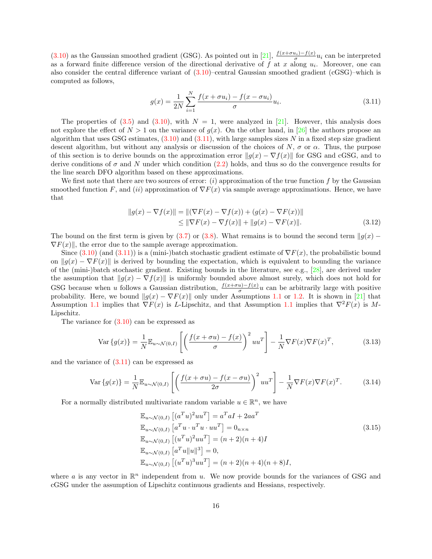[\(3.10\)](#page-15-3) as the Gaussian smoothed gradient (GSG). As pointed out in [\[21\]](#page-30-4),  $\frac{f(x+\sigma u_i)-f(x)}{\sigma}u_i$  can be interpreted as a forward finite difference version of the directional derivative of  $f$  at  $x$  along  $u_i$ . Moreover, one can also consider the central difference variant of  $(3.10)$ –central Gaussian smoothed gradient  $(cGSG)$ –which is computed as follows,

<span id="page-16-0"></span>
$$
g(x) = \frac{1}{2N} \sum_{i=1}^{N} \frac{f(x + \sigma u_i) - f(x - \sigma u_i)}{\sigma} u_i.
$$
 (3.11)

The properties of [\(3.5\)](#page-15-5) and [\(3.10\)](#page-15-3), with  $N = 1$ , were analyzed in [\[21\]](#page-30-4). However, this analysis does not explore the effect of  $N > 1$  on the variance of  $q(x)$ . On the other hand, in [\[26\]](#page-31-0) the authors propose an algorithm that uses GSG estimates,  $(3.10)$  and  $(3.11)$ , with large samples sizes N in a fixed step size gradient descent algorithm, but without any analysis or discussion of the choices of N,  $\sigma$  or  $\alpha$ . Thus, the purpose of this section is to derive bounds on the approximation error  $||g(x) - \nabla f(x)||$  for GSG and cGSG, and to derive conditions of  $\sigma$  and N under which condition [\(2.2\)](#page-5-7) holds, and thus so do the convergence results for the line search DFO algorithm based on these approximations.

We first note that there are two sources of error:  $(i)$  approximation of the true function f by the Gaussian smoothed function F, and (ii) approximation of  $\nabla F(x)$  via sample average approximations. Hence, we have that

<span id="page-16-4"></span>
$$
||g(x) - \nabla f(x)|| = ||(\nabla F(x) - \nabla f(x)) + (g(x) - \nabla F(x))||
$$
  
\n
$$
\le ||\nabla F(x) - \nabla f(x)|| + ||g(x) - \nabla F(x)||.
$$
\n(3.12)

The bound on the first term is given by [\(3.7\)](#page-15-4) or [\(3.8\)](#page-15-6). What remains is to bound the second term  $||g(x) \nabla F(x)$ , the error due to the sample average approximation.

Since  $(3.10)$  (and  $(3.11)$ ) is a (mini-)batch stochastic gradient estimate of  $\nabla F(x)$ , the probabilistic bound on  $||g(x) - \nabla F(x)||$  is derived by bounding the expectation, which is equivalent to bounding the variance of the (mini-)batch stochastic gradient. Existing bounds in the literature, see e.g., [\[28\]](#page-31-7), are derived under the assumption that  $||g(x) - \nabla f(x)||$  is uniformly bounded above almost surely, which does not hold for GSG because when u follows a Gaussian distribution,  $\frac{f(x+\sigma u)-f(x)}{\sigma}u$  can be arbitrarily large with positive probability. Here, we bound  $||g(x) - \nabla F(x)||$  only under Assumptions [1.1](#page-2-1) or [1.2.](#page-2-3) It is shown in [\[21\]](#page-30-4) that Assumption [1.1](#page-2-1) implies that  $\nabla F(x)$  is L-Lipschitz, and that Assumption 1.1 implies that  $\nabla^2 F(x)$  is M-Lipschitz.

The variance for  $(3.10)$  can be expressed as

$$
\text{Var}\left\{g(x)\right\} = \frac{1}{N} \mathbb{E}_{u \sim \mathcal{N}(0,I)} \left[ \left( \frac{f(x + \sigma u) - f(x)}{\sigma} \right)^2 u u^T \right] - \frac{1}{N} \nabla F(x) \nabla F(x)^T, \tag{3.13}
$$

and the variance of [\(3.11\)](#page-16-0) can be expressed as

$$
\text{Var}\left\{g(x)\right\} = \frac{1}{N} \mathbb{E}_{u \sim \mathcal{N}(0,I)} \left[ \left( \frac{f(x+\sigma u) - f(x-\sigma u)}{2\sigma} \right)^2 uu^T \right] - \frac{1}{N} \nabla F(x) \nabla F(x)^T. \tag{3.14}
$$

For a normally distributed multivariate random variable  $u \in \mathbb{R}^n$ , we have

<span id="page-16-3"></span><span id="page-16-2"></span><span id="page-16-1"></span>
$$
\mathbb{E}_{u \sim \mathcal{N}(0,I)} [(a^T u)^2 u u^T] = a^T a I + 2a a^T \n\mathbb{E}_{u \sim \mathcal{N}(0,I)} [a^T u \cdot u^T u \cdot u u^T] = 0_{n \times n} \n\mathbb{E}_{u \sim \mathcal{N}(0,I)} [(u^T u)^2 u u^T] = (n+2)(n+4)I \n\mathbb{E}_{u \sim \mathcal{N}(0,I)} [a^T u ||u||^3] = 0, \n\mathbb{E}_{u \sim \mathcal{N}(0,I)} [(u^T u)^3 u u^T] = (n+2)(n+4)(n+8)I,
$$
\n(3.15)

where a is any vector in  $\mathbb{R}^n$  independent from u. We now provide bounds for the variances of GSG and cGSG under the assumption of Lipschitz continuous gradients and Hessians, respectively.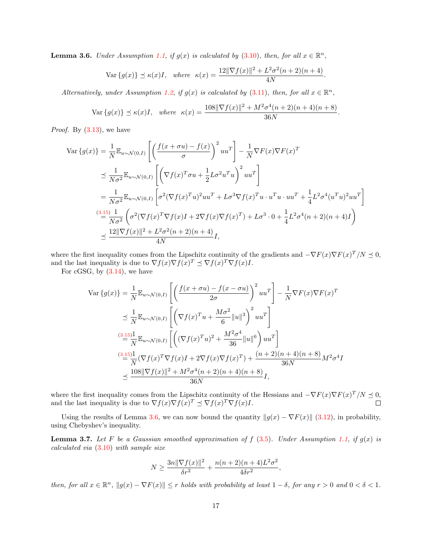<span id="page-17-0"></span>**Lemma 3.6.** Under Assumption [1.1,](#page-2-1) if  $g(x)$  is calculated by [\(3.10\)](#page-15-3), then, for all  $x \in \mathbb{R}^n$ ,

$$
\text{Var}\{g(x)\} \preceq \kappa(x)I, \text{ where } \kappa(x) = \frac{12\|\nabla f(x)\|^2 + L^2\sigma^2(n+2)(n+4)}{4N}.
$$

Alternatively, under Assumption [1.2,](#page-2-3) if  $g(x)$  is calculated by [\(3.11\)](#page-16-0), then, for all  $x \in \mathbb{R}^n$ ,

$$
\text{Var}\{g(x)\} \le \kappa(x)I, \quad \text{where} \quad \kappa(x) = \frac{108\|\nabla f(x)\|^2 + M^2 \sigma^4 (n+2)(n+4)(n+8)}{36N}.
$$

*Proof.* By  $(3.13)$ , we have

$$
\begin{split} \text{Var}\left\{g(x)\right\} &= \frac{1}{N} \mathbb{E}_{u \sim \mathcal{N}(0,I)} \left[ \left( \frac{f(x + \sigma u) - f(x)}{\sigma} \right)^2 u u^T \right] - \frac{1}{N} \nabla F(x) \nabla F(x)^T \\ &\leq \frac{1}{N\sigma^2} \mathbb{E}_{u \sim \mathcal{N}(0,I)} \left[ \left( \nabla f(x)^T \sigma u + \frac{1}{2} L \sigma^2 u^T u \right)^2 u u^T \right] \\ &= \frac{1}{N\sigma^2} \mathbb{E}_{u \sim \mathcal{N}(0,I)} \left[ \sigma^2 (\nabla f(x)^T u)^2 u u^T + L \sigma^3 \nabla f(x)^T u \cdot u^T u \cdot u u^T + \frac{1}{4} L^2 \sigma^4 (u^T u)^2 u u^T \right] \\ &\xrightarrow{(3.15)} \frac{1}{N\sigma^2} \left( \sigma^2 (\nabla f(x)^T \nabla f(x) I + 2 \nabla f(x) \nabla f(x)^T) + L \sigma^3 \cdot 0 + \frac{1}{4} L^2 \sigma^4 (n+2)(n+4) I \right) \\ &\leq \frac{12 \|\nabla f(x)\|^2 + L^2 \sigma^2 (n+2)(n+4)}{4N} I, \end{split}
$$

where the first inequality comes from the Lipschitz continuity of the gradients and  $-\nabla F(x)\nabla F(x)^T/N \preceq 0$ , and the last inequality is due to  $\nabla f(x) \nabla f(x)^T \preceq \nabla f(x)^T \nabla f(x) I$ .

For cGSG, by [\(3.14\)](#page-16-3), we have

$$
\begin{split} \n\text{Var}\left\{g(x)\right\} &= \frac{1}{N} \mathbb{E}_{u \sim \mathcal{N}(0,I)} \left[ \left( \frac{f(x + \sigma u) - f(x - \sigma u)}{2\sigma} \right)^2 u u^T \right] - \frac{1}{N} \nabla F(x) \nabla F(x)^T \\ \n&\leq \frac{1}{N} \mathbb{E}_{u \sim \mathcal{N}(0,I)} \left[ \left( \nabla f(x)^T u + \frac{M\sigma^2}{6} ||u||^3 \right)^2 u u^T \right] \\ \n&\stackrel{(3.15)}{=} \frac{1}{N} \mathbb{E}_{u \sim \mathcal{N}(0,I)} \left[ \left( (\nabla f(x)^T u)^2 + \frac{M^2 \sigma^4}{36} ||u||^6 \right) u u^T \right] \\ \n&\stackrel{(3.15)}{=} \frac{1}{N} (\nabla f(x)^T \nabla f(x) I + 2 \nabla f(x) \nabla f(x)^T) + \frac{(n+2)(n+4)(n+8)}{36N} M^2 \sigma^4 I \\ \n&\leq \frac{108 ||\nabla f(x)||^2 + M^2 \sigma^4 (n+2)(n+4)(n+8)}{36N} I, \n\end{split}
$$

where the first inequality comes from the Lipschitz continuity of the Hessians and  $-\nabla F(x)\nabla F(x)^T/N \preceq 0$ , and the last inequality is due to  $\nabla f(x) \nabla f(x)^T \preceq \nabla f(x)^T \nabla f(x) I$ .

Using the results of Lemma [3.6,](#page-17-0) we can now bound the quantity  $||g(x) - \nabla F(x)||$  [\(3.12\)](#page-16-4), in probability, using Chebyshev's inequality.

<span id="page-17-1"></span>**Lemma 3.7.** Let F be a Gaussian smoothed approximation of f  $(3.5)$ . Under Assumption [1.1,](#page-2-1) if  $g(x)$  is calculated via [\(3.10\)](#page-15-3) with sample size

$$
N \ge \frac{3n\|\nabla f(x)\|^2}{\delta r^2} + \frac{n(n+2)(n+4)L^2\sigma^2}{4\delta r^2},
$$

then, for all  $x \in \mathbb{R}^n$ ,  $||g(x) - \nabla F(x)|| \le r$  holds with probability at least  $1 - \delta$ , for any  $r > 0$  and  $0 < \delta < 1$ .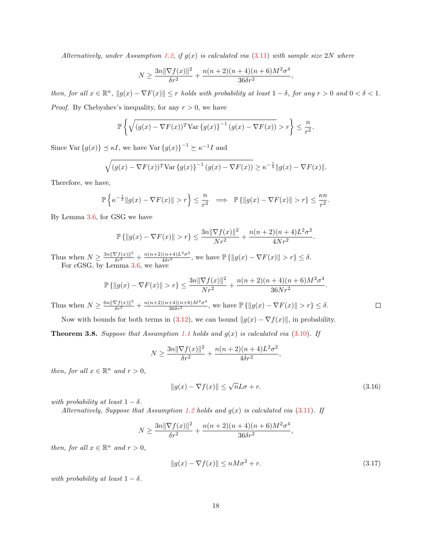Alternatively, under Assumption [1.2,](#page-2-3) if  $g(x)$  is calculated via [\(3.11\)](#page-16-0) with sample size 2N where

$$
N \ge \frac{3n\|\nabla f(x)\|^2}{\delta r^2} + \frac{n(n+2)(n+4)(n+6)M^2\sigma^4}{36\delta r^2},
$$

then, for all  $x \in \mathbb{R}^n$ ,  $||g(x) - \nabla F(x)|| \le r$  holds with probability at least  $1 - \delta$ , for any  $r > 0$  and  $0 < \delta < 1$ . *Proof.* By Chebyshev's inequality, for any  $r > 0$ , we have

$$
\mathbb{P}\left\{\sqrt{(g(x) - \nabla F(x))^T \text{Var}\left\{g(x)\right\}^{-1} (g(x) - \nabla F(x))} > r\right\} \leq \frac{n}{r^2}.
$$

Since Var  ${g(x)} \preceq \kappa I$ , we have Var  ${g(x)}^{-1} \succeq \kappa^{-1} I$  and

$$
\sqrt{(g(x) - \nabla F(x))^T \text{Var} \{g(x)\}^{-1} (g(x) - \nabla F(x))} \ge \kappa^{-\frac{1}{2}} \|g(x) - \nabla F(x)\|.
$$

Therefore, we have,

$$
\mathbb{P}\left\{\kappa^{-\frac{1}{2}}\|g(x)-\nabla F(x)\|>r\right\}\leq \frac{n}{r^2}\;\;\implies\;\;\mathbb{P}\left\{\|g(x)-\nabla F(x)\|>r\right\}\leq \frac{\kappa n}{r^2}.
$$

By Lemma [3.6,](#page-17-0) for GSG we have

$$
\mathbb{P}\left\{||g(x) - \nabla F(x)|| > r\right\} \le \frac{3n\|\nabla f(x)\|^2}{Nr^2} + \frac{n(n+2)(n+4)L^2\sigma^2}{4Nr^2}
$$

Thus when  $N \ge \frac{3n||\nabla f(x)||^2}{\delta r^2} + \frac{n(n+2)(n+4)L^2\sigma^2}{4\delta r^2}$ , we have  $\mathbb{P}\{\|g(x) - \nabla F(x)\| > r\} \le \delta$ . For cGSG, by Lemma [3.6,](#page-17-0) we have

$$
\mathbb{P}\left\{\|g(x) - \nabla F(x)\| > r\right\} \le \frac{3n\|\nabla f(x)\|^2}{Nr^2} + \frac{n(n+2)(n+4)(n+6)M^2\sigma^4}{36Nr^2}.
$$

Thus when  $N \ge \frac{6n\|\nabla f(x)\|^2}{\delta r^2} + \frac{n(n+2)(n+4)(n+6)M^2\sigma^4}{36\delta r^2}$ , we have  $\mathbb{P}\{\|g(x) - \nabla F(x)\| > r\} \le \delta$ .

<span id="page-18-2"></span>Now with bounds for both terms in [\(3.12\)](#page-16-4), we can bound  $||g(x) - \nabla f(x)||$ , in probability. **Theorem 3.8.** Suppose that Assumption [1.1](#page-2-1) holds and  $g(x)$  is calculated via [\(3.10\)](#page-15-3). If

$$
N \ge \frac{3n\|\nabla f(x)\|^2}{\delta r^2} + \frac{n(n+2)(n+4)L^2\sigma^2}{4\delta r^2},
$$

then, for all  $x \in \mathbb{R}^n$  and  $r > 0$ ,

$$
||g(x) - \nabla f(x)|| \le \sqrt{n}L\sigma + r.
$$
\n(3.16)

.

<span id="page-18-1"></span><span id="page-18-0"></span> $\Box$ 

with probability at least  $1 - \delta$ .

Alternatively, Suppose that Assumption [1.2](#page-2-3) holds and  $g(x)$  is calculated via [\(3.11\)](#page-16-0). If

$$
N \ge \frac{3n\|\nabla f(x)\|^2}{\delta r^2} + \frac{n(n+2)(n+4)(n+6)M^2\sigma^4}{36\delta r^2},
$$

then, for all  $x \in \mathbb{R}^n$  and  $r > 0$ ,

$$
||g(x) - \nabla f(x)|| \le nM\sigma^2 + r.
$$
\n(3.17)

with probability at least  $1 - \delta$ .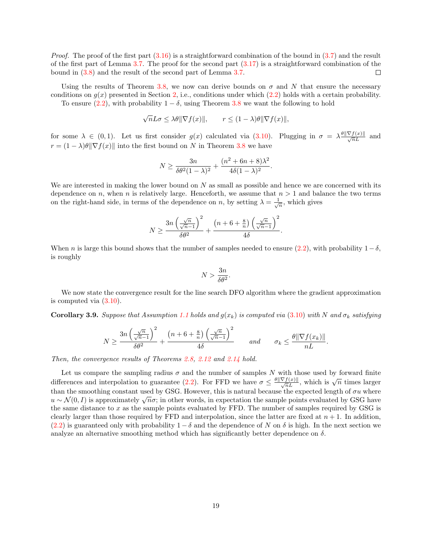*Proof.* The proof of the first part  $(3.16)$  is a straightforward combination of the bound in  $(3.7)$  and the result of the first part of Lemma  $3.7$ . The proof for the second part  $(3.17)$  is a straightforward combination of the bound in [\(3.8\)](#page-15-6) and the result of the second part of Lemma [3.7.](#page-17-1)  $\Box$ 

Using the results of Theorem [3.8,](#page-18-2) we now can derive bounds on  $\sigma$  and N that ensure the necessary conditions on  $g(x)$  presented in Section [2,](#page-4-1) i.e., conditions under which [\(2.2\)](#page-5-7) holds with a certain probability.

To ensure [\(2.2\)](#page-5-7), with probability  $1 - \delta$ , using Theorem [3.8](#page-18-2) we want the following to hold

$$
\sqrt{n}L\sigma \le \lambda \theta \|\nabla f(x)\|, \qquad r \le (1-\lambda)\theta \|\nabla f(x)\|,
$$

for some  $\lambda \in (0,1)$ . Let us first consider  $g(x)$  calculated via  $(3.10)$ . Plugging in  $\sigma = \lambda \frac{\theta \|\nabla f(x)\|}{\sqrt{n}L}$  and  $r = (1 - \lambda)\theta \|\nabla f(x)\|$  into the first bound on N in Theorem [3.8](#page-18-2) we have

$$
N \ge \frac{3n}{\delta \theta^2 (1 - \lambda)^2} + \frac{(n^2 + 6n + 8)\lambda^2}{4\delta (1 - \lambda)^2}
$$

.

We are interested in making the lower bound on  $N$  as small as possible and hence we are concerned with its dependence on n, when n is relatively large. Henceforth, we assume that  $n > 1$  and balance the two terms on the right-hand side, in terms of the dependence on n, by setting  $\lambda = \frac{1}{\sqrt{n}}$ , which gives

$$
N \ge \frac{3n\left(\frac{\sqrt{n}}{\sqrt{n}-1}\right)^2}{\delta\theta^2} + \frac{\left(n+6+\frac{8}{n}\right)\left(\frac{\sqrt{n}}{\sqrt{n}-1}\right)^2}{4\delta}.
$$

When n is large this bound shows that the number of samples needed to ensure [\(2.2\)](#page-5-7), with probability  $1 - \delta$ , is roughly

$$
N > \frac{3n}{\delta\theta^2}.
$$

We now state the convergence result for the line search DFO algorithm where the gradient approximation is computed via [\(3.10\)](#page-15-3).

<span id="page-19-0"></span>**Corollary 3.9.** Suppose that Assumption [1.1](#page-2-1) holds and  $g(x_k)$  is computed via [\(3.10\)](#page-15-3) with N and  $\sigma_k$  satisfying

$$
N \ge \frac{3n\left(\frac{\sqrt{n}}{\sqrt{n}-1}\right)^2}{\delta\theta^2} + \frac{\left(n+6+\frac{8}{n}\right)\left(\frac{\sqrt{n}}{\sqrt{n}-1}\right)^2}{4\delta} \quad \text{and} \quad \sigma_k \le \frac{\theta\|\nabla f(x_k)\|}{nL}.
$$

Then, the convergence results of Theorems [2.8,](#page-10-3) [2.12](#page-11-0) and [2.14](#page-11-1) hold.

Let us compare the sampling radius  $\sigma$  and the number of samples N with those used by forward finite Let us compare the sampling radius  $\sigma$  and the number of samples *i* which we differences and interpolation to guarantee [\(2.2\)](#page-5-7). For FFD we have  $\sigma \leq \frac{\theta || \nabla f(x)||}{\sqrt{n}L}$ , which is  $\sqrt{n}$  times larger than the smoothing constant used by GSG. However, this is natural because the expected length of  $\sigma u$  where than the smoothing constant used by GSG. However, this is hattiral because the expected length of *o u* where  $u \sim \mathcal{N}(0, I)$  is approximately  $\sqrt{n}\sigma$ ; in other words, in expectation the sample points evaluated by GSG the same distance to  $x$  as the sample points evaluated by FFD. The number of samples required by GSG is clearly larger than those required by FFD and interpolation, since the latter are fixed at  $n + 1$ . In addition, [\(2.2\)](#page-5-7) is guaranteed only with probability  $1 - \delta$  and the dependence of N on  $\delta$  is high. In the next section we analyze an alternative smoothing method which has significantly better dependence on  $\delta$ .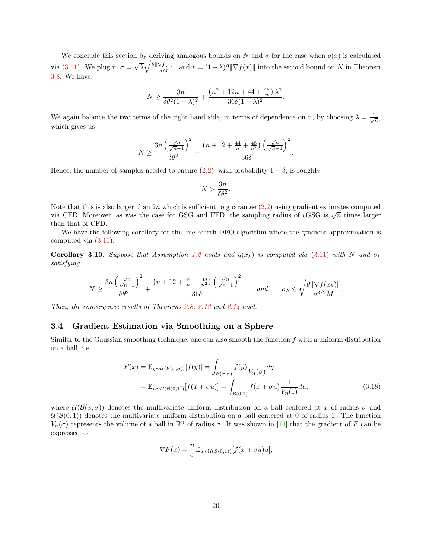We conclude this section by deriving analogous bounds on N and  $\sigma$  for the case when  $g(x)$  is calculated via [\(3.11\)](#page-16-0). We plug in  $\sigma =$ √  $\overline{\lambda}\sqrt{\frac{\theta\|\nabla f(x)\|}{nM}}$  and  $r = (1-\lambda)\theta\|\nabla f(x)\|$  into the second bound on N in Theorem [3.8.](#page-18-2) We have,

$$
N \ge \frac{3n}{\delta \theta^2 (1-\lambda)^2} + \frac{\left(n^2 + 12n + 44 + \frac{48}{n}\right) \lambda^2}{36\delta (1-\lambda)^2}.
$$

We again balance the two terms of the right hand side, in terms of dependence on n, by choosing  $\lambda = \frac{1}{\sqrt{n}}$ , which gives us

$$
N \ge \frac{3n\left(\frac{\sqrt{n}}{\sqrt{n}-1}\right)^2}{\delta\theta^2} + \frac{\left(n+12 + \frac{44}{n} + \frac{48}{n^2}\right)\left(\frac{\sqrt{n}}{\sqrt{n}-1}\right)^2}{36\delta}.
$$

Hence, the number of samples needed to ensure  $(2.2)$ , with probability  $1 - \delta$ , is roughly

$$
N > \frac{3n}{\delta \theta^2}.
$$

Note that this is also larger than 2n which is sufficient to guarantee  $(2.2)$  using gradient estimates computed via CFD. Moreover, as was the case for GSG and FFD, the sampling radius of cGSG is  $\sqrt{n}$  times larger than that of CFD.

We have the following corollary for the line search DFO algorithm where the gradient approximation is computed via [\(3.11\)](#page-16-0).

<span id="page-20-1"></span>**Corollary 3.10.** Suppose that Assumption [1.2](#page-2-3) holds and  $g(x_k)$  is computed via [\(3.11\)](#page-16-0) with N and  $\sigma_k$ satisfying

$$
N \ge \frac{3n\left(\frac{\sqrt{n}}{\sqrt{n}-1}\right)^2}{\delta\theta^2} + \frac{\left(n+12+\frac{44}{n}+\frac{48}{n^2}\right)\left(\frac{\sqrt{n}}{\sqrt{n}-1}\right)^2}{36\delta} \qquad and \qquad \sigma_k \le \sqrt{\frac{\theta\|\nabla f(x_k)\|}{n^{3/2}M}}
$$

Then, the convergence results of Theorems [2.8,](#page-10-3) [2.12](#page-11-0) and [2.14](#page-11-1) hold.

#### 3.4 Gradient Estimation via Smoothing on a Sphere

Similar to the Gaussian smoothing technique, one can also smooth the function  $f$  with a uniform distribution on a ball, i.e.,

$$
F(x) = \mathbb{E}_{y \sim \mathcal{U}(\mathcal{B}(x,\sigma))}[f(y)] = \int_{\mathcal{B}(x,\sigma)} f(y) \frac{1}{V_n(\sigma)} dy
$$
  
= 
$$
\mathbb{E}_{u \sim \mathcal{U}(\mathcal{B}(0,1))}[f(x+\sigma u)] = \int_{\mathcal{B}(0,1)} f(x+\sigma u) \frac{1}{V_n(1)} du,
$$
 (3.18)

<span id="page-20-0"></span>.

where  $\mathcal{U}(\mathcal{B}(x,\sigma))$  denotes the multivariate uniform distribution on a ball centered at x of radius  $\sigma$  and  $U(\mathcal{B}(0,1))$  denotes the multivariate uniform distribution on a ball centered at 0 of radius 1. The function  $V_n(\sigma)$  represents the volume of a ball in  $\mathbb{R}^n$  of radius  $\sigma$ . It was shown in [\[14\]](#page-30-5) that the gradient of F can be expressed as

$$
\nabla F(x) = -\frac{n}{\sigma} \mathbb{E}_{u \sim \mathcal{U}(\mathcal{S}(0,1))} [f(x + \sigma u)u],
$$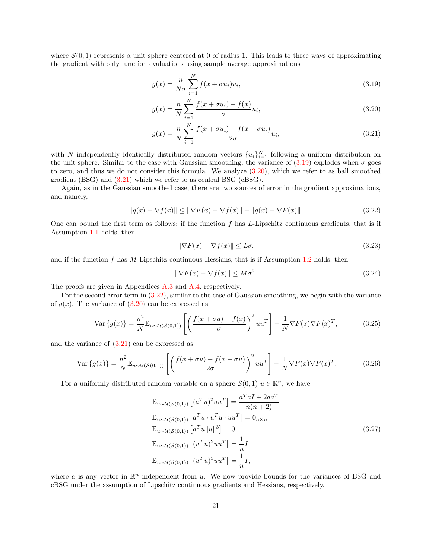where  $\mathcal{S}(0,1)$  represents a unit sphere centered at 0 of radius 1. This leads to three ways of approximating the gradient with only function evaluations using sample average approximations

<span id="page-21-0"></span>
$$
g(x) = \frac{n}{N\sigma} \sum_{i=1}^{N} f(x + \sigma u_i) u_i,
$$
\n(3.19)

<span id="page-21-1"></span>
$$
g(x) = \frac{n}{N} \sum_{i=1}^{N} \frac{f(x + \sigma u_i) - f(x)}{\sigma} u_i,
$$
\n(3.20)

<span id="page-21-2"></span>
$$
g(x) = \frac{n}{N} \sum_{i=1}^{N} \frac{f(x + \sigma u_i) - f(x - \sigma u_i)}{2\sigma} u_i,
$$
\n(3.21)

with N independently identically distributed random vectors  ${u_i}_{i=1}^N$  following a uniform distribution on the unit sphere. Similar to the case with Gaussian smoothing, the variance of  $(3.19)$  explodes when  $\sigma$  goes to zero, and thus we do not consider this formula. We analyze  $(3.20)$ , which we refer to as ball smoothed gradient (BSG) and [\(3.21\)](#page-21-2) which we refer to as central BSG (cBSG).

Again, as in the Gaussian smoothed case, there are two sources of error in the gradient approximations, and namely,

$$
||g(x) - \nabla f(x)|| \le ||\nabla F(x) - \nabla f(x)|| + ||g(x) - \nabla F(x)||. \tag{3.22}
$$

One can bound the first term as follows; if the function f has L-Lipschitz continuous gradients, that is if Assumption [1.1](#page-2-1) holds, then

<span id="page-21-8"></span><span id="page-21-7"></span><span id="page-21-3"></span>
$$
\|\nabla F(x) - \nabla f(x)\| \le L\sigma,\tag{3.23}
$$

and if the function  $f$  has M-Lipschitz continuous Hessians, that is if Assumption [1.2](#page-2-3) holds, then

<span id="page-21-6"></span><span id="page-21-4"></span>
$$
\|\nabla F(x) - \nabla f(x)\| \le M\sigma^2. \tag{3.24}
$$

The proofs are given in Appendices [A.3](#page-32-2) and [A.4,](#page-32-3) respectively.

For the second error term in [\(3.22\)](#page-21-3), similar to the case of Gaussian smoothing, we begin with the variance of  $g(x)$ . The variance of  $(3.20)$  can be expressed as

$$
\text{Var}\left\{g(x)\right\} = \frac{n^2}{N} \mathbb{E}_{u \sim \mathcal{U}(\mathcal{S}(0,1))} \left[ \left( \frac{f(x+\sigma u) - f(x)}{\sigma} \right)^2 u u^T \right] - \frac{1}{N} \nabla F(x) \nabla F(x)^T, \tag{3.25}
$$

and the variance of [\(3.21\)](#page-21-2) can be expressed as

$$
\text{Var}\left\{g(x)\right\} = \frac{n^2}{N} \mathbb{E}_{u \sim \mathcal{U}(\mathcal{S}(0,1))} \left[ \left( \frac{f(x+\sigma u) - f(x-\sigma u)}{2\sigma} \right)^2 uu^T \right] - \frac{1}{N} \nabla F(x) \nabla F(x)^T. \tag{3.26}
$$

For a uniformly distributed random variable on a sphere  $\mathcal{S}(0,1)$   $u \in \mathbb{R}^n$ , we have

<span id="page-21-5"></span>
$$
\mathbb{E}_{u \sim \mathcal{U}(\mathcal{S}(0,1))} [(a^T u)^2 uu^T] = \frac{a^T a I + 2aa^T}{n(n+2)}
$$
  
\n
$$
\mathbb{E}_{u \sim \mathcal{U}(\mathcal{S}(0,1))} [a^T u \cdot u^T u \cdot uu^T] = 0_{n \times n}
$$
  
\n
$$
\mathbb{E}_{u \sim \mathcal{U}(\mathcal{S}(0,1))} [a^T u ||u||^3] = 0
$$
  
\n
$$
\mathbb{E}_{u \sim \mathcal{U}(\mathcal{S}(0,1))} [(u^T u)^2 uu^T] = \frac{1}{n} I
$$
  
\n
$$
\mathbb{E}_{u \sim \mathcal{U}(\mathcal{S}(0,1))} [(u^T u)^3 uu^T] = \frac{1}{n} I,
$$
  
\n(3.27)

where a is any vector in  $\mathbb{R}^n$  independent from u. We now provide bounds for the variances of BSG and cBSG under the assumption of Lipschitz continuous gradients and Hessians, respectively.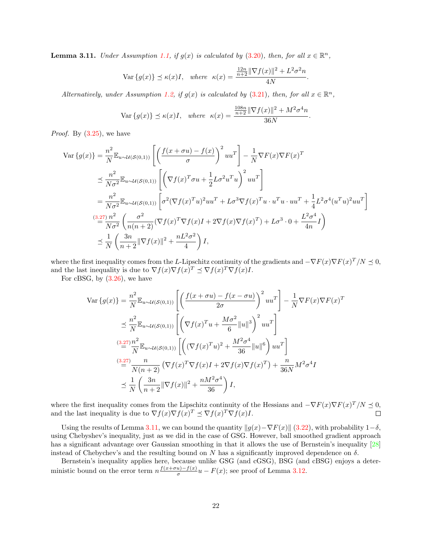<span id="page-22-0"></span>**Lemma 3.11.** Under Assumption [1.1,](#page-2-1) if  $g(x)$  is calculated by [\(3.20\)](#page-21-1), then, for all  $x \in \mathbb{R}^n$ ,

$$
\text{Var}\left\{g(x)\right\} \preceq \kappa(x)I, \quad \text{where} \quad \kappa(x) = \frac{\frac{12n}{n+2} \|\nabla f(x)\|^2 + L^2 \sigma^2 n}{4N}.
$$

Alternatively, under Assumption [1.2,](#page-2-3) if  $g(x)$  is calculated by [\(3.21\)](#page-21-2), then, for all  $x \in \mathbb{R}^n$ ,

$$
\text{Var}\left\{g(x)\right\} \preceq \kappa(x)I, \quad \text{where} \quad \kappa(x) = \frac{\frac{108n}{n+2} \|\nabla f(x)\|^2 + M^2 \sigma^4 n}{36N}.
$$

*Proof.* By  $(3.25)$ , we have

$$
\begin{split} \text{Var}\left\{g(x)\right\} &= \frac{n^2}{N} \mathbb{E}_{u \sim \mathcal{U}(S(0,1))} \left[ \left( \frac{f(x+\sigma u) - f(x)}{\sigma} \right)^2 u u^T \right] - \frac{1}{N} \nabla F(x) \nabla F(x)^T \\ &\leq \frac{n^2}{N\sigma^2} \mathbb{E}_{u \sim \mathcal{U}(S(0,1))} \left[ \left( \nabla f(x)^T \sigma u + \frac{1}{2} L \sigma^2 u^T u \right)^2 u u^T \right] \\ &= \frac{n^2}{N\sigma^2} \mathbb{E}_{u \sim \mathcal{U}(S(0,1))} \left[ \sigma^2 (\nabla f(x)^T u)^2 u u^T + L \sigma^3 \nabla f(x)^T u \cdot u^T u \cdot u u^T + \frac{1}{4} L^2 \sigma^4 (u^T u)^2 u u^T \right] \\ &\xrightarrow{(3.27)} \frac{n^2}{N\sigma^2} \left( \frac{\sigma^2}{n(n+2)} (\nabla f(x)^T \nabla f(x) I + 2 \nabla f(x) \nabla f(x)^T) + L \sigma^3 \cdot 0 + \frac{L^2 \sigma^4}{4n} I \right) \\ &\leq \frac{1}{N} \left( \frac{3n}{n+2} \|\nabla f(x)\|^2 + \frac{nL^2 \sigma^2}{4} \right) I, \end{split}
$$

where the first inequality comes from the L-Lipschitz continuity of the gradients and  $-\nabla F(x)\nabla F(x)^T/N \preceq 0$ , and the last inequality is due to  $\nabla f(x) \nabla f(x)^T \preceq \nabla f(x)^T \nabla f(x) I$ .

For cBSG, by  $(3.26)$ , we have

$$
\operatorname{Var}\left\{g(x)\right\} = \frac{n^2}{N} \mathbb{E}_{u \sim \mathcal{U}(\mathcal{S}(0,1))} \left[ \left( \frac{f(x+\sigma u) - f(x-\sigma u)}{2\sigma} \right)^2 u u^T \right] - \frac{1}{N} \nabla F(x) \nabla F(x)^T
$$
  

$$
\leq \frac{n^2}{N} \mathbb{E}_{u \sim \mathcal{U}(\mathcal{S}(0,1))} \left[ \left( \nabla f(x)^T u + \frac{M\sigma^2}{6} ||u||^3 \right)^2 u u^T \right]
$$
  

$$
\stackrel{(3.27)}{=} \frac{n^2}{N} \mathbb{E}_{u \sim \mathcal{U}(\mathcal{S}(0,1))} \left[ \left( (\nabla f(x)^T u)^2 + \frac{M^2 \sigma^4}{36} ||u||^6 \right) u u^T \right]
$$
  

$$
\stackrel{(3.27)}{=} \frac{n}{N(n+2)} \left( \nabla f(x)^T \nabla f(x) I + 2 \nabla f(x) \nabla f(x)^T \right) + \frac{n}{36N} M^2 \sigma^4 I
$$
  

$$
\leq \frac{1}{N} \left( \frac{3n}{n+2} ||\nabla f(x)||^2 + \frac{nM^2 \sigma^4}{36} \right) I,
$$

where the first inequality comes from the Lipschitz continuity of the Hessians and  $-\nabla F(x)\nabla F(x)^T/N \preceq 0$ , and the last inequality is due to  $\nabla f(x) \nabla f(x)^T \preceq \nabla f(x)^T \nabla f(x) I$ .  $\Box$ 

Using the results of Lemma [3.11,](#page-22-0) we can bound the quantity  $||g(x)-\nabla F(x)||$  [\(3.22\)](#page-21-3), with probability  $1-\delta$ , using Chebyshev's inequality, just as we did in the case of GSG. However, ball smoothed gradient approach has a significant advantage over Gaussian smoothing in that it allows the use of Bernstein's inequality [\[28\]](#page-31-7) instead of Chebychev's and the resulting bound on N has a significantly improved dependence on  $\delta$ .

Bernstein's inequality applies here, because unlike GSG (and cGSG), BSG (and cBSG) enjoys a deterministic bound on the error term  $n \frac{f(x+\sigma u)-f(x)}{\sigma}$  $\frac{u)-f(x)}{\sigma}u-F(x)$ ; see proof of Lemma [3.12.](#page-23-0)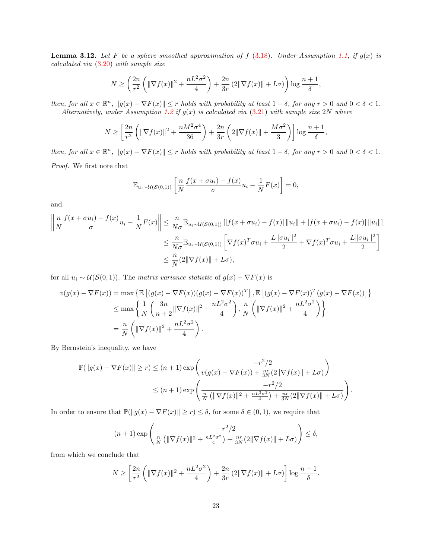<span id="page-23-0"></span>**Lemma 3.12.** Let F be a sphere smoothed approximation of f [\(3.18\)](#page-20-0). Under Assumption [1.1,](#page-2-1) if  $g(x)$  is calculated via [\(3.20\)](#page-21-1) with sample size

$$
N \ge \left(\frac{2n}{r^2} \left( \|\nabla f(x)\|^2 + \frac{nL^2\sigma^2}{4} \right) + \frac{2n}{3r} \left(2\|\nabla f(x)\| + L\sigma\right) \right) \log \frac{n+1}{\delta},
$$

then, for all  $x \in \mathbb{R}^n$ ,  $||g(x) - \nabla F(x)|| \le r$  holds with probability at least  $1 - \delta$ , for any  $r > 0$  and  $0 < \delta < 1$ . Alternatively, under Assumption [1.2](#page-2-3) if  $g(x)$  is calculated via [\(3.21\)](#page-21-2) with sample size 2N where

$$
N \ge \left[\frac{2n}{r^2} \left( \|\nabla f(x)\|^2 + \frac{nM^2 \sigma^4}{36} \right) + \frac{2n}{3r} \left( 2\|\nabla f(x)\| + \frac{M\sigma^2}{3} \right) \right] \log \frac{n+1}{\delta},
$$

then, for all  $x \in \mathbb{R}^n$ ,  $||g(x) - \nabla F(x)|| \leq r$  holds with probability at least  $1 - \delta$ , for any  $r > 0$  and  $0 < \delta < 1$ . Proof. We first note that

> $\mathbb{E}_{u_i \sim \mathcal{U}(\mathcal{S}(0,1))} \left[ \frac{n}{N} \right]$ N  $f(x + \sigma u_i) - f(x)$  $\frac{u_i - f(x)}{\sigma} u_i - \frac{1}{N}$  $\frac{1}{N}F(x)\bigg]=0,$

and

$$
\left\| \frac{n}{N} \frac{f(x + \sigma u_i) - f(x)}{\sigma} u_i - \frac{1}{N} F(x) \right\| \leq \frac{n}{N\sigma} \mathbb{E}_{u_i \sim \mathcal{U}(\mathcal{S}(0,1))} \left[ |f(x + \sigma u_i) - f(x)| \left\| u_i \right\| + \left| f(x + \sigma u_i) - f(x) \right| \left\| u_i \right\| \right]
$$
  

$$
\leq \frac{n}{N\sigma} \mathbb{E}_{u_i \sim \mathcal{U}(\mathcal{S}(0,1))} \left[ \nabla f(x)^T \sigma u_i + \frac{L \|\sigma u_i\|^2}{2} + \nabla f(x)^T \sigma u_i + \frac{L \|\sigma u_i\|^2}{2} \right]
$$
  

$$
\leq \frac{n}{N} (2 \|\nabla f(x)\| + L\sigma),
$$

for all  $u_i \sim \mathcal{U}(\mathcal{S}(0,1))$ . The matrix variance statistic of  $g(x) - \nabla F(x)$  is

$$
v(g(x) - \nabla F(x)) = \max \left\{ \mathbb{E} \left[ (g(x) - \nabla F(x))(g(x) - \nabla F(x))^T \right], \mathbb{E} \left[ (g(x) - \nabla F(x))^T (g(x) - \nabla F(x)) \right] \right\}
$$
  

$$
\leq \max \left\{ \frac{1}{N} \left( \frac{3n}{n+2} \|\nabla f(x)\|^2 + \frac{nL^2 \sigma^2}{4} \right), \frac{n}{N} \left( \|\nabla f(x)\|^2 + \frac{nL^2 \sigma^2}{4} \right) \right\}
$$
  

$$
= \frac{n}{N} \left( \|\nabla f(x)\|^2 + \frac{nL^2 \sigma^2}{4} \right).
$$

By Bernstein's inequality, we have

$$
\mathbb{P}(\|g(x) - \nabla F(x)\| \ge r) \le (n+1) \exp\left(\frac{-r^2/2}{v(g(x) - \nabla F(x)) + \frac{nr}{3N}(2\|\nabla f(x)\| + L\sigma)}\right)
$$
  

$$
\le (n+1) \exp\left(\frac{-r^2/2}{\frac{n}{N}\left(\|\nabla f(x)\|^2 + \frac{nL^2\sigma^2}{4}\right) + \frac{nr}{3N}(2\|\nabla f(x)\| + L\sigma)}\right).
$$

In order to ensure that  $\mathbb{P}(\|g(x) - \nabla F(x)\| \ge r) \le \delta$ , for some  $\delta \in (0, 1)$ , we require that

$$
(n+1)\exp\left(\frac{-r^2/2}{\frac{n}{N}\left(\|\nabla f(x)\|^2 + \frac{nL^2\sigma^2}{4}\right) + \frac{nr}{3N}(2\|\nabla f(x)\| + L\sigma)}\right) \le \delta,
$$

from which we conclude that

$$
N \ge \left[\frac{2n}{r^2} \left( \|\nabla f(x)\|^2 + \frac{nL^2\sigma^2}{4} \right) + \frac{2n}{3r} \left(2\|\nabla f(x)\| + L\sigma\right) \right] \log \frac{n+1}{\delta}.
$$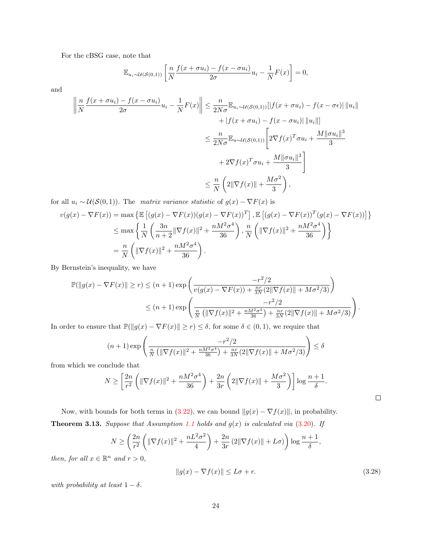For the cBSG case, note that

$$
\mathbb{E}_{u_i \sim \mathcal{U}(\mathcal{S}(0,1))} \left[ \frac{n}{N} \frac{f(x + \sigma u_i) - f(x - \sigma u_i)}{2\sigma} u_i - \frac{1}{N} F(x) \right] = 0,
$$

and

$$
\left\| \frac{n}{N} \frac{f(x + \sigma u_i) - f(x - \sigma u_i)}{2\sigma} u_i - \frac{1}{N} F(x) \right\| \leq \frac{n}{2N\sigma} \mathbb{E}_{u_i \sim \mathcal{U}(\mathcal{S}(0,1))} [|f(x + \sigma u_i) - f(x - \sigma \epsilon)| ||u_i||
$$
  
 
$$
+ |f(x + \sigma u_i) - f(x - \sigma u_i)| ||u_i||]
$$
  
 
$$
\leq \frac{n}{2N\sigma} \mathbb{E}_{u \sim \mathcal{U}(\mathcal{S}(0,1))} \left[ 2\nabla f(x)^T \sigma u_i + \frac{M ||\sigma u_i||^3}{3} + 2\nabla f(x)^T \sigma u_i + \frac{M ||\sigma u_i||^3}{3} \right]
$$
  
 
$$
\leq \frac{n}{N} \left( 2||\nabla f(x)|| + \frac{M\sigma^2}{3} \right),
$$

for all  $u_i \sim \mathcal{U}(\mathcal{S}(0,1))$ . The matrix variance statistic of  $g(x) - \nabla F(x)$  is

$$
v(g(x) - \nabla F(x)) = \max \left\{ \mathbb{E} \left[ (g(x) - \nabla F(x))(g(x) - \nabla F(x))^T \right], \mathbb{E} \left[ (g(x) - \nabla F(x))^T (g(x) - \nabla F(x)) \right] \right\}
$$
  
\n
$$
\leq \max \left\{ \frac{1}{N} \left( \frac{3n}{n+2} \|\nabla f(x)\|^2 + \frac{nM^2 \sigma^4}{36} \right), \frac{n}{N} \left( \|\nabla f(x)\|^2 + \frac{nM^2 \sigma^4}{36} \right) \right\}
$$
  
\n
$$
= \frac{n}{N} \left( \|\nabla f(x)\|^2 + \frac{nM^2 \sigma^4}{36} \right).
$$

By Bernstein's inequality, we have

$$
\mathbb{P}(\|g(x) - \nabla F(x)\| \ge r) \le (n+1) \exp\left(\frac{-r^2/2}{v(g(x) - \nabla F(x)) + \frac{nr}{3N}(2\|\nabla f(x)\| + M\sigma^2/3)}\right) \le (n+1) \exp\left(\frac{-r^2/2}{\frac{n}{N}(\|\nabla f(x)\|^2 + \frac{nM^2\sigma^4}{36}) + \frac{nr}{3N}(2\|\nabla f(x)\| + M\sigma^2/3)}\right).
$$

In order to ensure that  $\mathbb{P}(\|g(x) - \nabla F(x)\| \ge r) \le \delta$ , for some  $\delta \in (0, 1)$ , we require that

$$
(n+1)\exp\left(\frac{-r^2/2}{\frac{n}{N}\left(\|\nabla f(x)\|^2 + \frac{nM^2\sigma^4}{36}\right) + \frac{nr}{3N}(2\|\nabla f(x)\| + M\sigma^2/3)}\right) \le \delta
$$

from which we conclude that

$$
N \ge \left[\frac{2n}{r^2} \left( \|\nabla f(x)\|^2 + \frac{nM^2 \sigma^4}{36} \right) + \frac{2n}{3r} \left( 2\|\nabla f(x)\| + \frac{M\sigma^2}{3} \right) \right] \log \frac{n+1}{\delta}.
$$

<span id="page-24-1"></span>Now, with bounds for both terms in [\(3.22\)](#page-21-3), we can bound  $||g(x) - \nabla f(x)||$ , in probability. **Theorem 3.13.** Suppose that Assumption [1.1](#page-2-1) holds and  $g(x)$  is calculated via  $(3.20)$ . If

$$
N \ge \left(\frac{2n}{r^2} \left( \|\nabla f(x)\|^2 + \frac{nL^2\sigma^2}{4} \right) + \frac{2n}{3r} \left(2\|\nabla f(x)\| + L\sigma\right) \right) \log \frac{n+1}{\delta},
$$

then, for all  $x \in \mathbb{R}^n$  and  $r > 0$ ,

$$
||g(x) - \nabla f(x)|| \le L\sigma + r.
$$
\n(3.28)

<span id="page-24-0"></span> $\Box$ 

with probability at least  $1 - \delta$ .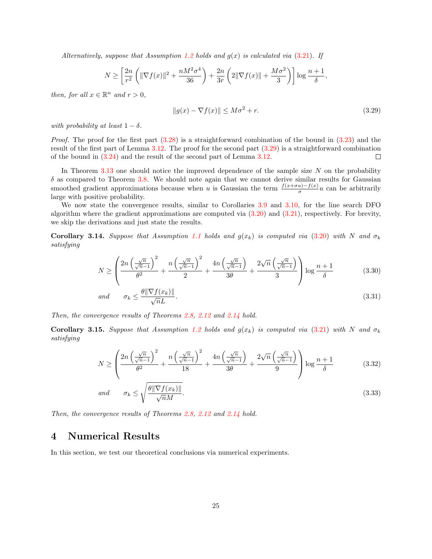Alternatively, suppose that Assumption [1.2](#page-2-3) holds and  $q(x)$  is calculated via [\(3.21\)](#page-21-2). If

$$
N \ge \left[\frac{2n}{r^2} \left( \|\nabla f(x)\|^2 + \frac{nM^2 \sigma^4}{36} \right) + \frac{2n}{3r} \left( 2\|\nabla f(x)\| + \frac{M\sigma^2}{3} \right) \right] \log \frac{n+1}{\delta},
$$

then, for all  $x \in \mathbb{R}^n$  and  $r > 0$ ,

<span id="page-25-1"></span>
$$
||g(x) - \nabla f(x)|| \le M\sigma^2 + r.
$$
\n(3.29)

with probability at least  $1 - \delta$ .

*Proof.* The proof for the first part  $(3.28)$  is a straightforward combination of the bound in  $(3.23)$  and the result of the first part of Lemma [3.12.](#page-23-0) The proof for the second part [\(3.29\)](#page-25-1) is a straightforward combination of the bound in [\(3.24\)](#page-21-8) and the result of the second part of Lemma [3.12.](#page-23-0)  $\Box$ 

In Theorem [3.13](#page-24-1) one should notice the improved dependence of the sample size  $N$  on the probability  $\delta$  as compared to Theorem [3.8.](#page-18-2) We should note again that we cannot derive similar results for Gaussian smoothed gradient approximations because when u is Gaussian the term  $\frac{f(x+\sigma u)-f(x)}{\sigma}u$  can be arbitrarily large with positive probability.

We now state the convergence results, similar to Corollaries [3.9](#page-19-0) and [3.10,](#page-20-1) for the line search DFO algorithm where the gradient approximations are computed via  $(3.20)$  and  $(3.21)$ , respectively. For brevity, we skip the derivations and just state the results.

**Corollary 3.14.** Suppose that Assumption [1.1](#page-2-1) holds and  $g(x_k)$  is computed via [\(3.20\)](#page-21-1) with N and  $\sigma_k$ satisfying

$$
N \ge \left(\frac{2n\left(\frac{\sqrt{n}}{\sqrt{n}-1}\right)^2}{\theta^2} + \frac{n\left(\frac{\sqrt{n}}{\sqrt{n}-1}\right)^2}{2} + \frac{4n\left(\frac{\sqrt{n}}{\sqrt{n}-1}\right)}{3\theta} + \frac{2\sqrt{n}\left(\frac{\sqrt{n}}{\sqrt{n}-1}\right)}{3}\right) \log\frac{n+1}{\delta} \tag{3.30}
$$

$$
and \qquad \sigma_k \le \frac{\theta \|\nabla f(x_k)\|}{\sqrt{n}L}.\tag{3.31}
$$

Then, the convergence results of Theorems [2.8,](#page-10-3) [2.12](#page-11-0) and [2.14](#page-11-1) hold.

**Corollary 3.15.** Suppose that Assumption [1.2](#page-2-3) holds and  $g(x_k)$  is computed via [\(3.21\)](#page-21-2) with N and  $\sigma_k$ satisfying

$$
N \ge \left(\frac{2n\left(\frac{\sqrt{n}}{\sqrt{n}-1}\right)^2}{\theta^2} + \frac{n\left(\frac{\sqrt{n}}{\sqrt{n}-1}\right)^2}{18} + \frac{4n\left(\frac{\sqrt{n}}{\sqrt{n}-1}\right)}{3\theta} + \frac{2\sqrt{n}\left(\frac{\sqrt{n}}{\sqrt{n}-1}\right)}{9}\right) \log\frac{n+1}{\delta} \tag{3.32}
$$

$$
and \qquad \sigma_k \le \sqrt{\frac{\theta \|\nabla f(x_k)\|}{\sqrt{n}M}}.\tag{3.33}
$$

Then, the convergence results of Theorems [2.8,](#page-10-3) [2.12](#page-11-0) and [2.14](#page-11-1) hold.

## <span id="page-25-0"></span>4 Numerical Results

In this section, we test our theoretical conclusions via numerical experiments.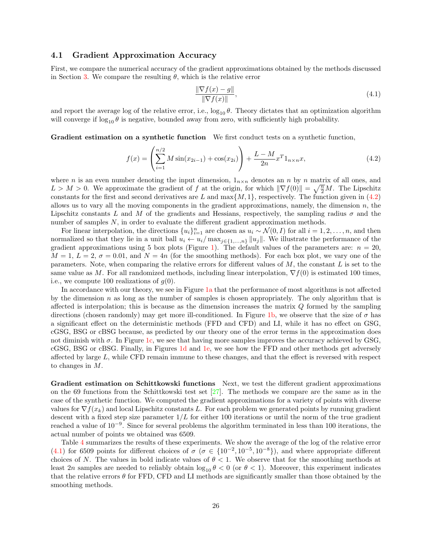#### <span id="page-26-2"></span>4.1 Gradient Approximation Accuracy

First, we compare the numerical accuracy of the gradient approximations obtained by the methods discussed in Section [3.](#page-12-0) We compare the resulting  $\theta$ , which is the relative error

<span id="page-26-1"></span><span id="page-26-0"></span>
$$
\frac{\|\nabla f(x) - g\|}{\|\nabla f(x)\|},\tag{4.1}
$$

and report the average log of the relative error, i.e.,  $\log_{10} \theta$ . Theory dictates that an optimization algorithm will converge if  $\log_{10} \theta$  is negative, bounded away from zero, with sufficiently high probability.

Gradient estimation on a synthetic function We first conduct tests on a synthetic function,

$$
f(x) = \left(\sum_{i=1}^{n/2} M \sin(x_{2i-1}) + \cos(x_{2i})\right) + \frac{L - M}{2n} x^T 1_{n \times n} x,
$$
\n(4.2)

where n is an even number denoting the input dimension,  $1_{n\times n}$  denotes an n by n matrix of all ones, and  $L > M > 0$ . We approximate the gradient of f at the origin, for which  $\|\nabla f(0)\| = \sqrt{\frac{n}{2}}M$ . The Lipschitz constants for the first and second derivatives are L and max $\{M, 1\}$ , respectively. The function given in  $(4.2)$ allows us to vary all the moving components in the gradient approximations, namely, the dimension  $n$ , the Lipschitz constants L and M of the gradients and Hessians, respectively, the sampling radius  $\sigma$  and the number of samples N, in order to evaluate the different gradient approximation methods.

For linear interpolation, the directions  $\{u_i\}_{i=1}^n$  are chosen as  $u_i \sim \mathcal{N}(0, I)$  for all  $i = 1, 2, \ldots, n$ , and then normalized so that they lie in a unit ball  $u_i \leftarrow u_i/\max_{j\in\{1,\ldots,n\}} \|u_j\|$ . We illustrate the performance of the gradient approximations using 5 box plots (Figure [1\)](#page-27-0). The default values of the parameters are:  $n = 20$ ,  $M = 1, L = 2, \sigma = 0.01$ , and  $N = 4n$  (for the smoothing methods). For each box plot, we vary one of the parameters. Note, when comparing the relative errors for different values of  $M$ , the constant  $L$  is set to the same value as M. For all randomized methods, including linear interpolation,  $\nabla f(0)$  is estimated 100 times. i.e., we compute 100 realizations of  $q(0)$ .

In accordance with our theory, we see in Figure [1a](#page-27-0) that the performance of most algorithms is not affected by the dimension  $n$  as long as the number of samples is chosen appropriately. The only algorithm that is affected is interpolation; this is because as the dimension increases the matrix Q formed by the sampling directions (chosen randomly) may get more ill-conditioned. In Figure [1b,](#page-27-0) we observe that the size of  $\sigma$  has a significant effect on the deterministic methods (FFD and CFD) and LI, while it has no effect on GSG, cGSG, BSG or cBSG because, as predicted by our theory one of the error terms in the approximation does not diminish with  $σ$ . In Figure [1c,](#page-27-0) we see that having more samples improves the accuracy achieved by GSG, cGSG, BSG or cBSG. Finally, in Figures [1d](#page-27-0) and [1e,](#page-27-0) we see how the FFD and other methods get adversely affected by large L, while CFD remain immune to these changes, and that the effect is reversed with respect to changes in M.

Gradient estimation on Schittkowski functions Next, we test the different gradient approximations on the 69 functions from the Schittkowski test set [\[27\]](#page-31-8). The methods we compare are the same as in the case of the synthetic function. We computed the gradient approximations for a variety of points with diverse values for  $\nabla f(x_k)$  and local Lipschitz constants L. For each problem we generated points by running gradient descent with a fixed step size parameter  $1/L$  for either 100 iterations or until the norm of the true gradient reached a value of 10<sup>−</sup><sup>9</sup> . Since for several problems the algorithm terminated in less than 100 iterations, the actual number of points we obtained was 6509.

Table [4](#page-27-1) summarizes the results of these experiments. We show the average of the log of the relative error [\(4.1\)](#page-26-1) for 6509 points for different choices of  $\sigma$  ( $\sigma \in \{10^{-2}, 10^{-5}, 10^{-8}\}$ ), and where appropriate different choices of N. The values in bold indicate values of  $\theta < 1$ . We observe that for the smoothing methods at least 2n samples are needed to reliably obtain  $\log_{10} \theta < 0$  (or  $\theta < 1$ ). Moreover, this experiment indicates that the relative errors  $\theta$  for FFD, CFD and LI methods are significantly smaller than those obtained by the smoothing methods.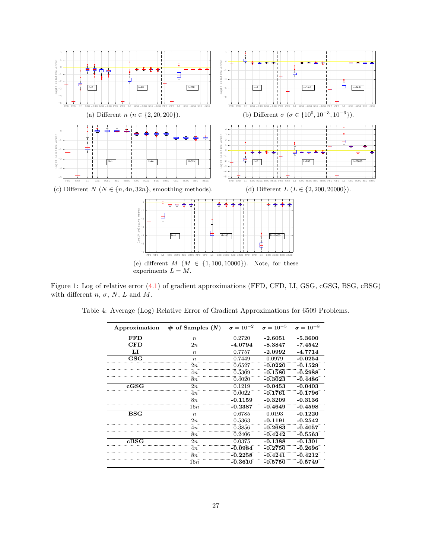<span id="page-27-0"></span>

experiments  $L = M$ .

<span id="page-27-1"></span>Figure 1: Log of relative error [\(4.1\)](#page-26-1) of gradient approximations (FFD, CFD, LI, GSG, cGSG, BSG, cBSG) with different  $n, \sigma, N, L$  and  $M$ .

|  |  |  | Table 4: Average (Log) Relative Error of Gradient Approximations for 6509 Problems. |  |  |
|--|--|--|-------------------------------------------------------------------------------------|--|--|
|  |  |  |                                                                                     |  |  |

| Approximation | $\#$ of Samples $(N)$ | $\sigma = 10^{-2}$ | $\sigma = 10^{-5}$ | $\sigma = 10^{-8}$ |
|---------------|-----------------------|--------------------|--------------------|--------------------|
| <b>FFD</b>    | $\boldsymbol{n}$      | 0.2720             | $-2.6051$          | $-5.3600$          |
| CFD           | 2n                    | $-4.0794$          | $-8.3847$          | $-7.4542$          |
| LI            | $\boldsymbol{n}$      | 0.7757             | $-2.0992$          | $-4.7714$          |
| $_{\rm GSG}$  | $\boldsymbol{n}$      | 0.7449             | 0.0979             | $-0.0254$          |
|               | 2n                    | 0.6527             | $-0.0220$          | $-0.1529$          |
|               | 4n                    | 0.5309             | $-0.1580$          | $-0.2988$          |
|               | 8n                    | 0.4020             | $-0.3023$          | $-0.4486$          |
| $_{\rm cGSG}$ | 2n                    | 0.1219             | $-0.0453$          | $-0.0403$          |
|               | 4n                    | 0.0022             | $-0.1761$          | $-0.1796$          |
|               | 8n                    | $-0.1159$          | $-0.3209$          | $-0.3136$          |
|               | 16n                   | $-0.2387$          | $-0.4649$          | $-0.4598$          |
| $_{\rm BSG}$  | $\boldsymbol{n}$      | 0.6785             | 0.0193             | $-0.1220$          |
|               | 2n                    | 0.5363             | $-0.1191$          | $-0.2542$          |
|               | 4n                    | 0.3856             | $-0.2683$          | $-0.4057$          |
|               | 8n                    | 0.2406             | $-0.4242$          | $-0.5563$          |
| cBSG          | 2n                    | 0.0375             | $-0.1388$          | $-0.1301$          |
|               | 4n                    | $-0.0984$          | $-0.2750$          | $-0.2696$          |
|               | 8n                    | $-0.2258$          | $-0.4241$          | $-0.4212$          |
|               | 16n                   | $-0.3610$          | $-0.5750$          | $-0.5749$          |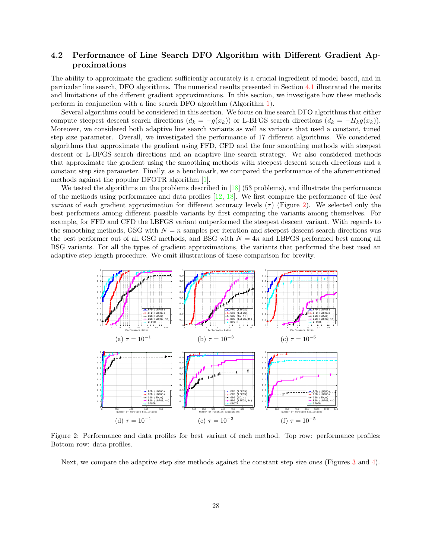### 4.2 Performance of Line Search DFO Algorithm with Different Gradient Approximations

The ability to approximate the gradient sufficiently accurately is a crucial ingredient of model based, and in particular line search, DFO algorithms. The numerical results presented in Section [4.1](#page-26-2) illustrated the merits and limitations of the different gradient approximations. In this section, we investigate how these methods perform in conjunction with a line search DFO algorithm (Algorithm [1\)](#page-5-0).

Several algorithms could be considered in this section. We focus on line search DFO algorithms that either compute steepest descent search directions  $(d_k = -g(x_k))$  or L-BFGS search directions  $(d_k = -H_kg(x_k))$ . Moreover, we considered both adaptive line search variants as well as variants that used a constant, tuned step size parameter. Overall, we investigated the performance of 17 different algorithms. We considered algorithms that approximate the gradient using FFD, CFD and the four smoothing methods with steepest descent or L-BFGS search directions and an adaptive line search strategy. We also considered methods that approximate the gradient using the smoothing methods with steepest descent search directions and a constant step size parameter. Finally, as a benchmark, we compared the performance of the aforementioned methods against the popular DFOTR algorithm [\[1\]](#page-29-4).

We tested the algorithms on the problems described in [\[18\]](#page-30-15) (53 problems), and illustrate the performance of the methods using performance and data profiles  $[12, 18]$  $[12, 18]$ . We first compare the performance of the best variant of each gradient approximation for different accuracy levels  $(\tau)$  (Figure [2\)](#page-28-0). We selected only the best performers among different possible variants by first comparing the variants among themselves. For example, for FFD and CFD the LBFGS variant outperformed the steepest descent variant. With regards to the smoothing methods, GSG with  $N = n$  samples per iteration and steepest descent search directions was the best performer out of all GSG methods, and BSG with  $N = 4n$  and LBFGS performed best among all BSG variants. For all the types of gradient approximations, the variants that performed the best used an adaptive step length procedure. We omit illustrations of these comparison for brevity.

<span id="page-28-0"></span>

Figure 2: Performance and data profiles for best variant of each method. Top row: performance profiles; Bottom row: data profiles.

Next, we compare the adaptive step size methods against the constant step size ones (Figures [3](#page-29-5) and [4\)](#page-29-6).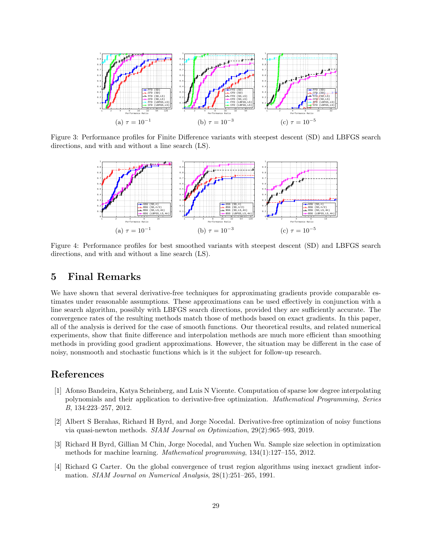<span id="page-29-5"></span>

<span id="page-29-6"></span>Figure 3: Performance profiles for Finite Difference variants with steepest descent (SD) and LBFGS search directions, and with and without a line search (LS).



Figure 4: Performance profiles for best smoothed variants with steepest descent (SD) and LBFGS search directions, and with and without a line search (LS).

## <span id="page-29-0"></span>5 Final Remarks

We have shown that several derivative-free techniques for approximating gradients provide comparable estimates under reasonable assumptions. These approximations can be used effectively in conjunction with a line search algorithm, possibly with LBFGS search directions, provided they are sufficiently accurate. The convergence rates of the resulting methods match those of methods based on exact gradients. In this paper, all of the analysis is derived for the case of smooth functions. Our theoretical results, and related numerical experiments, show that finite difference and interpolation methods are much more efficient than smoothing methods in providing good gradient approximations. However, the situation may be different in the case of noisy, nonsmooth and stochastic functions which is it the subject for follow-up research.

### References

- <span id="page-29-4"></span>[1] Afonso Bandeira, Katya Scheinberg, and Luis N Vicente. Computation of sparse low degree interpolating polynomials and their application to derivative-free optimization. Mathematical Programming, Series B, 134:223–257, 2012.
- <span id="page-29-3"></span>[2] Albert S Berahas, Richard H Byrd, and Jorge Nocedal. Derivative-free optimization of noisy functions via quasi-newton methods. SIAM Journal on Optimization, 29(2):965–993, 2019.
- <span id="page-29-2"></span>[3] Richard H Byrd, Gillian M Chin, Jorge Nocedal, and Yuchen Wu. Sample size selection in optimization methods for machine learning. Mathematical programming, 134(1):127–155, 2012.
- <span id="page-29-1"></span>[4] Richard G Carter. On the global convergence of trust region algorithms using inexact gradient information. SIAM Journal on Numerical Analysis, 28(1):251–265, 1991.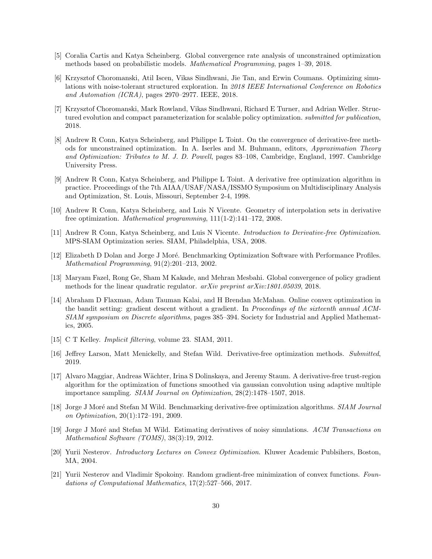- <span id="page-30-6"></span>[5] Coralia Cartis and Katya Scheinberg. Global convergence rate analysis of unconstrained optimization methods based on probabilistic models. Mathematical Programming, pages 1–39, 2018.
- <span id="page-30-14"></span>[6] Krzysztof Choromanski, Atil Iscen, Vikas Sindhwani, Jie Tan, and Erwin Coumans. Optimizing simulations with noise-tolerant structured exploration. In 2018 IEEE International Conference on Robotics and Automation (ICRA), pages 2970–2977. IEEE, 2018.
- <span id="page-30-13"></span>[7] Krzysztof Choromanski, Mark Rowland, Vikas Sindhwani, Richard E Turner, and Adrian Weller. Structured evolution and compact parameterization for scalable policy optimization. *submitted for publication*, 2018.
- <span id="page-30-10"></span>[8] Andrew R Conn, Katya Scheinberg, and Philippe L Toint. On the convergence of derivative-free methods for unconstrained optimization. In A. Iserles and M. Buhmann, editors, Approximation Theory and Optimization: Tributes to M. J. D. Powell, pages 83–108, Cambridge, England, 1997. Cambridge University Press.
- <span id="page-30-11"></span>[9] Andrew R Conn, Katya Scheinberg, and Philippe L Toint. A derivative free optimization algorithm in practice. Proceedings of the 7th AIAA/USAF/NASA/ISSMO Symposium on Multidisciplinary Analysis and Optimization, St. Louis, Missouri, September 2-4, 1998.
- <span id="page-30-12"></span>[10] Andrew R Conn, Katya Scheinberg, and Luis N Vicente. Geometry of interpolation sets in derivative free optimization. Mathematical programming, 111(1-2):141–172, 2008.
- <span id="page-30-0"></span>[11] Andrew R Conn, Katya Scheinberg, and Luis N Vicente. Introduction to Derivative-free Optimization. MPS-SIAM Optimization series. SIAM, Philadelphia, USA, 2008.
- <span id="page-30-16"></span>[12] Elizabeth D Dolan and Jorge J Moré. Benchmarking Optimization Software with Performance Profiles. Mathematical Programming, 91(2):201–213, 2002.
- <span id="page-30-2"></span>[13] Maryam Fazel, Rong Ge, Sham M Kakade, and Mehran Mesbahi. Global convergence of policy gradient methods for the linear quadratic regulator. arXiv preprint arXiv:1801.05039, 2018.
- <span id="page-30-5"></span>[14] Abraham D Flaxman, Adam Tauman Kalai, and H Brendan McMahan. Online convex optimization in the bandit setting: gradient descent without a gradient. In Proceedings of the sixteenth annual ACM-SIAM symposium on Discrete algorithms, pages 385–394. Society for Industrial and Applied Mathematics, 2005.
- <span id="page-30-9"></span>[15] C T Kelley. Implicit filtering, volume 23. SIAM, 2011.
- <span id="page-30-1"></span>[16] Jeffrey Larson, Matt Menickelly, and Stefan Wild. Derivative-free optimization methods. Submitted, 2019.
- <span id="page-30-3"></span>[17] Alvaro Maggiar, Andreas W¨achter, Irina S Dolinskaya, and Jeremy Staum. A derivative-free trust-region algorithm for the optimization of functions smoothed via gaussian convolution using adaptive multiple importance sampling. SIAM Journal on Optimization, 28(2):1478–1507, 2018.
- <span id="page-30-15"></span>[18] Jorge J Moré and Stefan M Wild. Benchmarking derivative-free optimization algorithms. SIAM Journal on Optimization, 20(1):172–191, 2009.
- <span id="page-30-7"></span>[19] Jorge J Moré and Stefan M Wild. Estimating derivatives of noisy simulations. ACM Transactions on Mathematical Software (TOMS), 38(3):19, 2012.
- <span id="page-30-8"></span>[20] Yurii Nesterov. Introductory Lectures on Convex Optimization. Kluwer Academic Publsihers, Boston, MA, 2004.
- <span id="page-30-4"></span>[21] Yurii Nesterov and Vladimir Spokoiny. Random gradient-free minimization of convex functions. Foundations of Computational Mathematics, 17(2):527–566, 2017.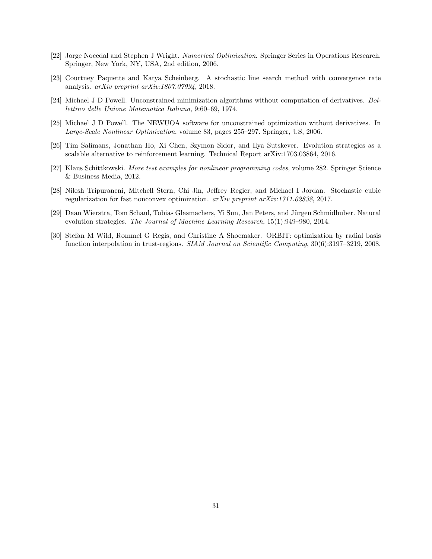- <span id="page-31-1"></span>[22] Jorge Nocedal and Stephen J Wright. Numerical Optimization. Springer Series in Operations Research. Springer, New York, NY, USA, 2nd edition, 2006.
- <span id="page-31-2"></span>[23] Courtney Paquette and Katya Scheinberg. A stochastic line search method with convergence rate analysis. arXiv preprint arXiv:1807.07994, 2018.
- <span id="page-31-3"></span>[24] Michael J D Powell. Unconstrained minimization algorithms without computation of derivatives. Bollettino delle Unione Matematica Italiana, 9:60–69, 1974.
- <span id="page-31-4"></span>[25] Michael J D Powell. The NEWUOA software for unconstrained optimization without derivatives. In Large-Scale Nonlinear Optimization, volume 83, pages 255–297. Springer, US, 2006.
- <span id="page-31-0"></span>[26] Tim Salimans, Jonathan Ho, Xi Chen, Szymon Sidor, and Ilya Sutskever. Evolution strategies as a scalable alternative to reinforcement learning. Technical Report arXiv:1703.03864, 2016.
- <span id="page-31-8"></span>[27] Klaus Schittkowski. More test examples for nonlinear programming codes, volume 282. Springer Science & Business Media, 2012.
- <span id="page-31-7"></span>[28] Nilesh Tripuraneni, Mitchell Stern, Chi Jin, Jeffrey Regier, and Michael I Jordan. Stochastic cubic regularization for fast nonconvex optimization. arXiv preprint arXiv:1711.02838, 2017.
- <span id="page-31-6"></span>[29] Daan Wierstra, Tom Schaul, Tobias Glasmachers, Yi Sun, Jan Peters, and Jürgen Schmidhuber. Natural evolution strategies. The Journal of Machine Learning Research, 15(1):949–980, 2014.
- <span id="page-31-5"></span>[30] Stefan M Wild, Rommel G Regis, and Christine A Shoemaker. ORBIT: optimization by radial basis function interpolation in trust-regions. SIAM Journal on Scientific Computing, 30(6):3197–3219, 2008.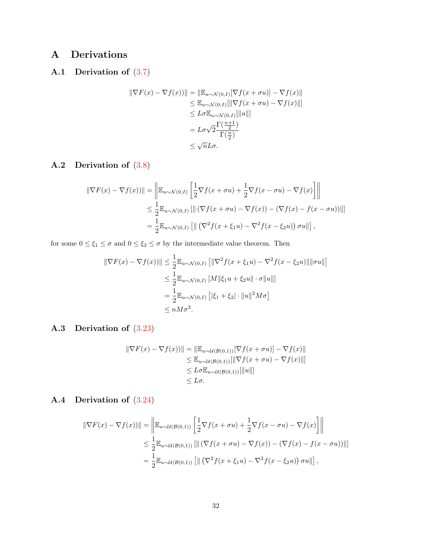# A Derivations

# <span id="page-32-0"></span>A.1 Derivation of [\(3.7\)](#page-15-4)

$$
\|\nabla F(x) - \nabla f(x)\| = \|\mathbb{E}_{u \sim \mathcal{N}(0,I)}[\nabla f(x + \sigma u)] - \nabla f(x)\|
$$
  
\n
$$
\leq \mathbb{E}_{u \sim \mathcal{N}(0,I)}[\|\nabla f(x + \sigma u) - \nabla f(x)\|]
$$
  
\n
$$
\leq L\sigma \mathbb{E}_{u \sim \mathcal{N}(0,I)}[\|u\|]
$$
  
\n
$$
= L\sigma \sqrt{2} \frac{\Gamma(\frac{n+1}{2})}{\Gamma(\frac{n}{2})}
$$
  
\n
$$
\leq \sqrt{n}L\sigma.
$$

## <span id="page-32-1"></span>A.2 Derivation of [\(3.8\)](#page-15-6)

$$
\|\nabla F(x) - \nabla f(x)\right)\| = \left\| \mathbb{E}_{u \sim \mathcal{N}(0,I)} \left[ \frac{1}{2} \nabla f(x + \sigma u) + \frac{1}{2} \nabla f(x - \sigma u) - \nabla f(x) \right] \right\|
$$
  
\n
$$
\leq \frac{1}{2} \mathbb{E}_{u \sim \mathcal{N}(0,I)} \left[ \left\| \left( \nabla f(x + \sigma u) - \nabla f(x) \right) - \left( \nabla f(x) - f(x - \sigma u) \right) \right\| \right]
$$
  
\n
$$
= \frac{1}{2} \mathbb{E}_{u \sim \mathcal{N}(0,I)} \left[ \left\| \left( \nabla^2 f(x + \xi_1 u) - \nabla^2 f(x - \xi_2 u) \right) \sigma u \right\| \right],
$$

for some  $0\leq \xi_1\leq \sigma$  and  $0\leq \xi_2\leq \sigma$  by the intermediate value theorem. Then

$$
\|\nabla F(x) - \nabla f(x)\| \le \frac{1}{2} \mathbb{E}_{u \sim \mathcal{N}(0, I)} \left[ \|\nabla^2 f(x + \xi_1 u) - \nabla^2 f(x - \xi_2 u)\| \|\sigma u\| \right]
$$
  

$$
\le \frac{1}{2} \mathbb{E}_{u \sim \mathcal{N}(0, I)} [M \| \xi_1 u + \xi_2 u \| \cdot \sigma \|u\|]
$$
  

$$
= \frac{1}{2} \mathbb{E}_{u \sim \mathcal{N}(0, I)} \left[ |\xi_1 + \xi_2| \cdot \|u\|^2 M \sigma \right]
$$
  

$$
\le nM\sigma^2.
$$

## <span id="page-32-2"></span>A.3 Derivation of [\(3.23\)](#page-21-7)

$$
\|\nabla F(x) - \nabla f(x)\| = \|\mathbb{E}_{u \sim \mathcal{U}(\mathcal{B}(0,1))}[\nabla f(x + \sigma u)] - \nabla f(x)\|
$$
  
\n
$$
\leq \mathbb{E}_{u \sim \mathcal{U}(\mathcal{B}(0,1))}[\|\nabla f(x + \sigma u) - \nabla f(x)\|]
$$
  
\n
$$
\leq L\sigma \mathbb{E}_{u \sim \mathcal{U}(\mathcal{B}(0,1))}[\|u\|]
$$
  
\n
$$
\leq L\sigma.
$$

## <span id="page-32-3"></span>A.4 Derivation of [\(3.24\)](#page-21-8)

$$
\|\nabla F(x) - \nabla f(x)\| = \left\| \mathbb{E}_{u \sim \mathcal{U}(\mathcal{B}(0,1))} \left[ \frac{1}{2} \nabla f(x + \sigma u) + \frac{1}{2} \nabla f(x - \sigma u) - \nabla f(x) \right] \right\|
$$
  
\n
$$
\leq \frac{1}{2} \mathbb{E}_{u \sim \mathcal{U}(\mathcal{B}(0,1))} \left[ \| (\nabla f(x + \sigma u) - \nabla f(x)) - (\nabla f(x) - f(x - \sigma u)) \right] \right]
$$
  
\n
$$
= \frac{1}{2} \mathbb{E}_{u \sim \mathcal{U}(\mathcal{B}(0,1))} \left[ \| (\nabla^2 f(x + \xi_1 u) - \nabla^2 f(x - \xi_2 u)) \sigma u \| \right],
$$